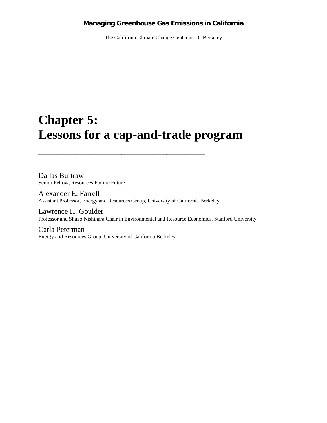## **Managing Greenhouse Gas Emissions in California**

The California Climate Change Center at UC Berkeley

# **Chapter 5: Lessons for a cap-and-trade program**

Dallas Burtraw Senior Fellow, Resources For the Future

Alexander E. Farrell Assistant Professor, Energy and Resources Group, University of California Berkeley

 $\frac{1}{2}$  ,  $\frac{1}{2}$  ,  $\frac{1}{2}$  ,  $\frac{1}{2}$  ,  $\frac{1}{2}$  ,  $\frac{1}{2}$  ,  $\frac{1}{2}$  ,  $\frac{1}{2}$  ,  $\frac{1}{2}$  ,  $\frac{1}{2}$  ,  $\frac{1}{2}$  ,  $\frac{1}{2}$  ,  $\frac{1}{2}$  ,  $\frac{1}{2}$  ,  $\frac{1}{2}$  ,  $\frac{1}{2}$  ,  $\frac{1}{2}$  ,  $\frac{1}{2}$  ,  $\frac{1$ 

Lawrence H. Goulder Professor and Shuzo Nishihara Chair in Environmental and Resource Economics, Stanford University

Carla Peterman Energy and Resources Group, University of California Berkeley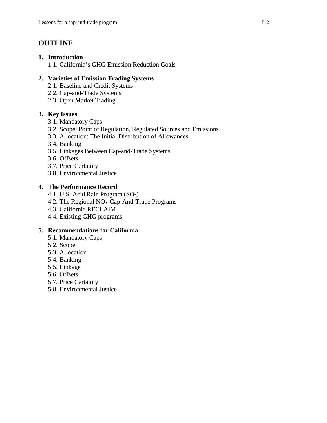## **OUTLINE**

## **1. Introduction**

1.1. California's GHG Emission Reduction Goals

## **2. Varieties of Emission Trading Systems**

- 2.1. Baseline and Credit Systems
- 2.2. Cap-and-Trade Systems
- 2.3. Open Market Trading

## **3. Key Issues**

- 3.1. Mandatory Caps
- 3.2. Scope: Point of Regulation, Regulated Sources and Emissions
- 3.3. Allocation: The Initial Distribution of Allowances
- 3.4. Banking
- 3.5. Linkages Between Cap-and-Trade Systems
- 3.6. Offsets
- 3.7. Price Certainty
- 3.8. Environmental Justice

## **4. The Performance Record**

- 4.1. U.S. Acid Rain Program (SO<sub>2</sub>)
- 4.2. The Regional  $NO<sub>X</sub> Cap-And-Trade Programs$
- 4.3. California RECLAIM
- 4.4. Existing GHG programs

## **5. Recommendations for California**

- 5.1. Mandatory Caps
- 5.2. Scope
- 5.3. Allocation
- 5.4. Banking
- 5.5. Linkage
- 5.6. Offsets
- 5.7. Price Certainty
- 5.8. Environmental Justice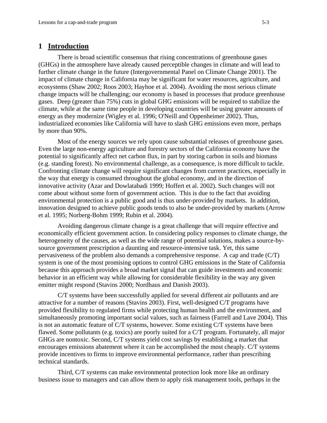## **1 Introduction**

There is broad scientific consensus that rising concentrations of greenhouse gases (GHGs) in the atmosphere have already caused perceptible changes in climate and will lead to further climate change in the future (Intergovernmental Panel on Climate Change 2001). The impact of climate change in California may be significant for water resources, agriculture, and ecosystems (Shaw 2002; Roos 2003; Hayhoe et al. 2004). Avoiding the most serious climate change impacts will be challenging; our economy is based in processes that produce greenhouse gases. Deep (greater than 75%) cuts in global GHG emissions will be required to stabilize the climate, while at the same time people in developing countries will be using greater amounts of energy as they modernize (Wigley et al. 1996; O'Neill and Oppenheimer 2002). Thus, industrialized economies like California will have to slash GHG emissions even more, perhaps by more than 90%.

Most of the energy sources we rely upon cause substantial releases of greenhouse gases. Even the large non-energy agriculture and forestry sectors of the California economy have the potential to significantly affect net carbon flux, in part by storing carbon in soils and biomass (e.g. standing forest). No environmental challenge, as a consequence, is more difficult to tackle. Confronting climate change will require significant changes from current practices, especially in the way that energy is consumed throughout the global economy, and in the direction of innovative activity (Azar and Dowlatabadi 1999; Hoffert et al. 2002). Such changes will not come about without some form of government action. This is due to the fact that avoiding environmental protection is a public good and is thus under-provided by markets. In addition, innovation designed to achieve public goods tends to also be under-provided by markets (Arrow et al. 1995; Norberg-Bohm 1999; Rubin et al. 2004).

Avoiding dangerous climate change is a great challenge that will require effective and economically efficient government action. In considering policy responses to climate change, the heterogeneity of the causes, as well as the wide range of potential solutions, makes a source-bysource government prescription a daunting and resource-intensive task. Yet, this same pervasiveness of the problem also demands a comprehensive response. A cap and trade (C/T) system is one of the most promising options to control GHG emissions in the State of California because this approach provides a broad market signal that can guide investments and economic behavior in an efficient way while allowing for considerable flexibility in the way any given emitter might respond (Stavins 2000; Nordhaus and Danish 2003).

C/T systems have been successfully applied for several different air pollutants and are attractive for a number of reasons (Stavins 2003). First, well-designed C/T programs have provided flexibility to regulated firms while protecting human health and the environment, and simultaneously promoting important social values, such as fairness (Farrell and Lave 2004). This is not an automatic feature of C/T systems, however. Some existing C/T systems have been flawed. Some pollutants (e.g. toxics) are poorly suited for a C/T program. Fortunately, all major GHGs are nontoxic. Second, C/T systems yield cost savings by establishing a market that encourages emissions abatement where it can be accomplished the most cheaply. C/T systems provide incentives to firms to improve environmental performance, rather than prescribing technical standards.

Third, C/T systems can make environmental protection look more like an ordinary business issue to managers and can allow them to apply risk management tools, perhaps in the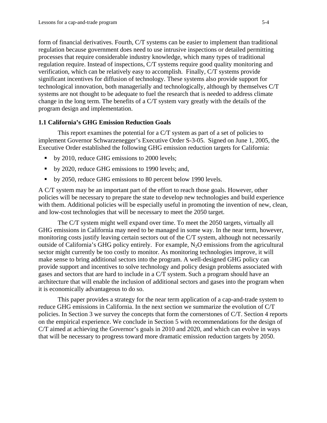form of financial derivatives. Fourth, C/T systems can be easier to implement than traditional regulation because government does need to use intrusive inspections or detailed permitting processes that require considerable industry knowledge, which many types of traditional regulation require. Instead of inspections, C/T systems require good quality monitoring and verification, which can be relatively easy to accomplish. Finally, C/T systems provide significant incentives for diffusion of technology. These systems also provide support for technological innovation, both managerially and technologically, although by themselves C/T systems are not thought to be adequate to fuel the research that is needed to address climate change in the long term. The benefits of a C/T system vary greatly with the details of the program design and implementation.

#### **1.1 California's GHG Emission Reduction Goals**

This report examines the potential for a C/T system as part of a set of policies to implement Governor Schwarzenegger's Executive Order S-3-05. Signed on June 1, 2005, the Executive Order established the following GHG emission reduction targets for California:

- by 2010, reduce GHG emissions to 2000 levels;
- by 2020, reduce GHG emissions to 1990 levels; and,
- by 2050, reduce GHG emissions to 80 percent below 1990 levels.

A C/T system may be an important part of the effort to reach those goals. However, other policies will be necessary to prepare the state to develop new technologies and build experience with them. Additional policies will be especially useful in promoting the invention of new, clean, and low-cost technologies that will be necessary to meet the 2050 target.

The C/T system might well expand over time. To meet the 2050 targets, virtually all GHG emissions in California may need to be managed in some way. In the near term, however, monitoring costs justify leaving certain sectors out of the C/T system, although not necessarily outside of California's GHG policy entirely. For example,  $N_2O$  emissions from the agricultural sector might currently be too costly to monitor. As monitoring technologies improve, it will make sense to bring additional sectors into the program. A well-designed GHG policy can provide support and incentives to solve technology and policy design problems associated with gases and sectors that are hard to include in a C/T system. Such a program should have an architecture that will enable the inclusion of additional sectors and gases into the program when it is economically advantageous to do so.

This paper provides a strategy for the near term application of a cap-and-trade system to reduce GHG emissions in California. In the next section we summarize the evolution of C/T policies. In Section 3 we survey the concepts that form the cornerstones of C/T. Section 4 reports on the empirical experience. We conclude in Section 5 with recommendations for the design of C/T aimed at achieving the Governor's goals in 2010 and 2020, and which can evolve in ways that will be necessary to progress toward more dramatic emission reduction targets by 2050.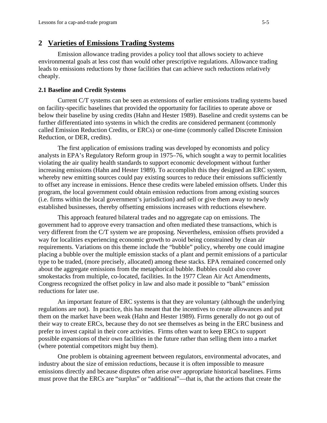#### **2 Varieties of Emissions Trading Systems**

 Emission allowance trading provides a policy tool that allows society to achieve environmental goals at less cost than would other prescriptive regulations. Allowance trading leads to emissions reductions by those facilities that can achieve such reductions relatively cheaply.

#### **2.1 Baseline and Credit Systems**

Current C/T systems can be seen as extensions of earlier emissions trading systems based on facility-specific baselines that provided the opportunity for facilities to operate above or below their baseline by using credits (Hahn and Hester 1989). Baseline and credit systems can be further differentiated into systems in which the credits are considered permanent (commonly called Emission Reduction Credits, or ERCs) or one-time (commonly called Discrete Emission Reduction, or DER, credits).

The first application of emissions trading was developed by economists and policy analysts in EPA's Regulatory Reform group in 1975–76, which sought a way to permit localities violating the air quality health standards to support economic development without further increasing emissions (Hahn and Hester 1989). To accomplish this they designed an ERC system, whereby new emitting sources could pay existing sources to reduce their emissions sufficiently to offset any increase in emissions. Hence these credits were labeled emission offsets. Under this program, the local government could obtain emission reductions from among existing sources (i.e. firms within the local government's jurisdiction) and sell or give them away to newly established businesses, thereby offsetting emissions increases with reductions elsewhere.

This approach featured bilateral trades and no aggregate cap on emissions. The government had to approve every transaction and often mediated these transactions, which is very different from the C/T system we are proposing. Nevertheless, emission offsets provided a way for localities experiencing economic growth to avoid being constrained by clean air requirements. Variations on this theme include the "bubble" policy, whereby one could imagine placing a bubble over the multiple emission stacks of a plant and permit emissions of a particular type to be traded, (more precisely, allocated) among these stacks. EPA remained concerned only about the aggregate emissions from the metaphorical bubble. Bubbles could also cover smokestacks from multiple, co-located, facilities. In the 1977 Clean Air Act Amendments, Congress recognized the offset policy in law and also made it possible to "bank" emission reductions for later use.

An important feature of ERC systems is that they are voluntary (although the underlying regulations are not). In practice, this has meant that the incentives to create allowances and put them on the market have been weak (Hahn and Hester 1989). Firms generally do not go out of their way to create ERCs, because they do not see themselves as being in the ERC business and prefer to invest capital in their core activities. Firms often want to keep ERCs to support possible expansions of their own facilities in the future rather than selling them into a market (where potential competitors might buy them).

One problem is obtaining agreement between regulators, environmental advocates, and industry about the size of emission reductions, because it is often impossible to measure emissions directly and because disputes often arise over appropriate historical baselines. Firms must prove that the ERCs are "surplus" or "additional"—that is, that the actions that create the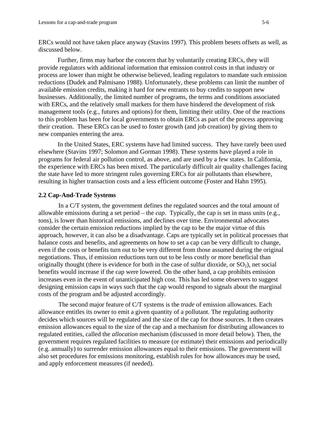ERCs would not have taken place anyway (Stavins 1997). This problem besets offsets as well, as discussed below.

Further, firms may harbor the concern that by voluntarily creating ERCs, they will provide regulators with additional information that emission control costs in that industry or process are lower than might be otherwise believed, leading regulators to mandate such emission reductions (Dudek and Palmisano 1988). Unfortunately, these problems can limit the number of available emission credits, making it hard for new entrants to buy credits to support new businesses. Additionally, the limited number of programs, the terms and conditions associated with ERCs, and the relatively small markets for them have hindered the development of risk management tools (e.g., futures and options) for them, limiting their utility. One of the reactions to this problem has been for local governments to obtain ERCs as part of the process approving their creation. These ERCs can be used to foster growth (and job creation) by giving them to new companies entering the area.

In the United States, ERC systems have had limited success. They have rarely been used elsewhere (Stavins 1997; Solomon and Gorman 1998). These systems have played a role in programs for federal air pollution control, as above, and are used by a few states. In California, the experience with ERCs has been mixed. The particularly difficult air quality challenges facing the state have led to more stringent rules governing ERCs for air pollutants than elsewhere, resulting in higher transaction costs and a less efficient outcome (Foster and Hahn 1995).

#### **2.2 Cap-And-Trade Systems**

In a C/T system, the government defines the regulated sources and the total amount of allowable emissions during a set period – the *cap*. Typically, the cap is set in mass units (e.g., tons), is lower than historical emissions, and declines over time. Environmental advocates consider the certain emission reductions implied by the cap to be the major virtue of this approach, however, it can also be a disadvantage. Caps are typically set in political processes that balance costs and benefits, and agreements on how to set a cap can be very difficult to change, even if the costs or benefits turn out to be very different from those assumed during the original negotiations. Thus, if emission reductions turn out to be less costly or more beneficial than originally thought (there is evidence for both in the case of sulfur dioxide, or  $SO_2$ ), net social benefits would increase if the cap were lowered. On the other hand, a cap prohibits emission increases even in the event of unanticipated high cost. This has led some observers to suggest designing emission caps in ways such that the cap would respond to signals about the marginal costs of the program and be adjusted accordingly.

The second major feature of C/T systems is the *trade* of emission allowances. Each allowance entitles its owner to emit a given quantity of a pollutant. The regulating authority decides which sources will be regulated and the size of the cap for those sources. It then creates emission allowances equal to the size of the cap and a mechanism for distributing allowances to regulated entities, called the *allocation* mechanism (discussed in more detail below). Then, the government requires regulated facilities to measure (or estimate) their emissions and periodically (e.g. annually) to surrender emission allowances equal to their emissions. The government will also set procedures for emissions monitoring, establish rules for how allowances may be used, and apply enforcement measures (if needed).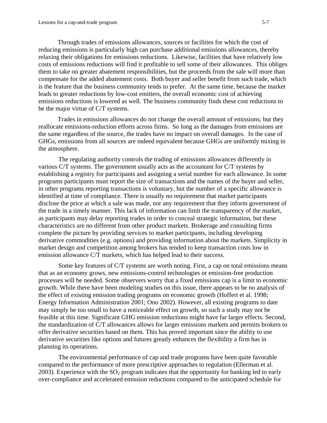Through trades of emissions allowances, sources or facilities for which the cost of reducing emissions is particularly high can purchase additional emissions allowances, thereby relaxing their obligations for emissions reductions. Likewise, facilities that have relatively low costs of emissions reductions will find it profitable to sell some of their allowances. This obliges them to take on greater abatement responsibilities, but the proceeds from the sale will more than compensate for the added abatement costs. Both buyer and seller benefit from such trade, which is the feature that the business community tends to prefer. At the same time, because the market leads to greater reductions by low-cost emitters, the overall economic cost of achieving emissions reductions is lowered as well. The business community finds these cost reductions to be the major virtue of C/T systems.

Trades in emissions allowances do not change the overall amount of emissions; but they reallocate emissions-reduction efforts across firms. So long as the damages from emissions are the same regardless of the source, the trades have no impact on overall damages. In the case of GHGs, emissions from all sources are indeed equivalent because GHGs are uniformly mixing in the atmosphere.

The regulating authority controls the trading of emissions allowances differently in various C/T systems. The government usually acts as the accountant for C/T systems by establishing a registry for participants and assigning a serial number for each allowance. In some programs participants must report the size of transactions and the names of the buyer and seller, in other programs reporting transactions is voluntary, but the number of a specific allowance is identified at time of compliance. There is usually no requirement that market participants disclose the price at which a sale was made, nor any requirement that they inform government of the trade in a timely manner. This lack of information can limit the transparency of the market, as participants may delay reporting trades in order to conceal strategic information, but these characteristics are no different from other product markets. Brokerage and consulting firms complete the picture by providing services to market participants, including developing derivative commodities (e.g. options) and providing information about the markets. Simplicity in market design and competition among brokers has tended to keep transaction costs low in emission allowance C/T markets, which has helped lead to their success.

Some key features of C/T systems are worth noting. First, a cap on total emissions means that as an economy grows, new emissions-control technologies or emission-free production processes will be needed. Some observers worry that a fixed emissions cap is a limit to economic growth. While there have been modeling studies on this issue, there appears to be no analysis of the effect of existing emission trading programs on economic growth (Hoffert et al. 1998; Energy Information Administration 2001; Ono 2002). However, all existing programs to date may simply be too small to have a noticeable effect on growth, so such a study may not be feasible at this time. Significant GHG emission reductions might have far larger effects. Second, the standardization of C/T allowances allows for larger emissions markets and permits brokers to offer derivative securities based on them. This has proved important since the ability to use derivative securities like options and futures greatly enhances the flexibility a firm has in planning its operations.

The environmental performance of cap and trade programs have been quite favorable compared to the performance of more prescriptive approaches to regulation (Ellerman et al. 2003). Experience with the  $SO<sub>2</sub>$  program indicates that the opportunity for banking led to early over-compliance and accelerated emission reductions compared to the anticipated schedule for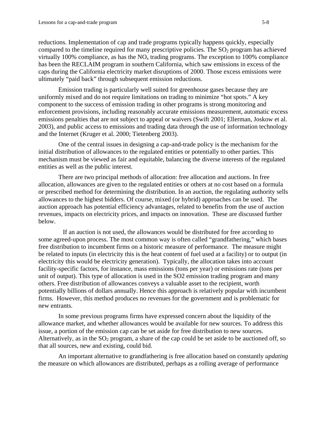reductions. Implementation of cap and trade programs typically happens quickly, especially compared to the timeline required for many prescriptive policies. The  $SO<sub>2</sub>$  program has achieved virtually 100% compliance, as has the NO*x* trading programs. The exception to 100% compliance has been the RECLAIM program in southern California, which saw emissions in excess of the caps during the California electricity market disruptions of 2000. Those excess emissions were ultimately "paid back" through subsequent emission reductions.

Emission trading is particularly well suited for greenhouse gases because they are uniformly mixed and do not require limitations on trading to minimize "hot spots." A key component to the success of emission trading in other programs is strong monitoring and enforcement provisions, including reasonably accurate emissions measurement, automatic excess emissions penalties that are not subject to appeal or waivers (Swift 2001; Ellerman, Joskow et al. 2003), and public access to emissions and trading data through the use of information technology and the Internet (Kruger et al. 2000; Tietenberg 2003).

One of the central issues in designing a cap-and-trade policy is the mechanism for the initial distribution of allowances to the regulated entities or potentially to other parties. This mechanism must be viewed as fair and equitable, balancing the diverse interests of the regulated entities as well as the public interest.

There are two principal methods of allocation: free allocation and auctions. In free allocation, allowances are given to the regulated entities or others at no cost based on a formula or prescribed method for determining the distribution. In an auction, the regulating authority sells allowances to the highest bidders. Of course, mixed (or hybrid) approaches can be used. The auction approach has potential efficiency advantages, related to benefits from the use of auction revenues, impacts on electricity prices, and impacts on innovation. These are discussed further below.

If an auction is not used, the allowances would be distributed for free according to some agreed-upon process. The most common way is often called "grandfathering," which bases free distribution to incumbent firms on a historic measure of performance. The measure might be related to inputs (in electricity this is the heat content of fuel used at a facility) or to output (in electricity this would be electricity generation). Typically, the allocation takes into account facility-specific factors, for instance, mass emissions (tons per year) or emissions rate (tons per unit of output). This type of allocation is used in the SO2 emission trading program and many others. Free distribution of allowances conveys a valuable asset to the recipient, worth potentially billions of dollars annually. Hence this approach is relatively popular with incumbent firms. However, this method produces no revenues for the government and is problematic for new entrants.

In some previous programs firms have expressed concern about the liquidity of the allowance market, and whether allowances would be available for new sources. To address this issue, a portion of the emission cap can be set aside for free distribution to new sources. Alternatively, as in the  $SO_2$  program, a share of the cap could be set aside to be auctioned off, so that all sources, new and existing, could bid.

An important alternative to grandfathering is free allocation based on constantly *updating* the measure on which allowances are distributed, perhaps as a rolling average of performance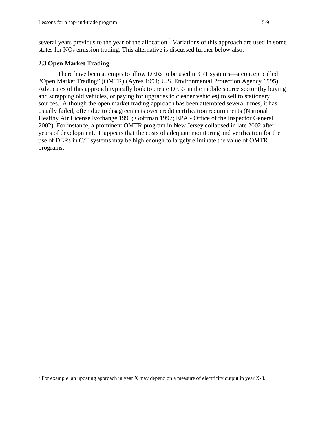several years previous to the year of the allocation.<sup>1</sup> Variations of this approach are used in some states for  $NO<sub>x</sub>$  emission trading. This alternative is discussed further below also.

#### **2.3 Open Market Trading**

<u>.</u>

 There have been attempts to allow DERs to be used in C/T systems—a concept called "Open Market Trading" (OMTR) (Ayres 1994; U.S. Environmental Protection Agency 1995). Advocates of this approach typically look to create DERs in the mobile source sector (by buying and scrapping old vehicles, or paying for upgrades to cleaner vehicles) to sell to stationary sources. Although the open market trading approach has been attempted several times, it has usually failed, often due to disagreements over credit certification requirements (National Healthy Air License Exchange 1995; Goffman 1997; EPA - Office of the Inspector General 2002). For instance, a prominent OMTR program in New Jersey collapsed in late 2002 after years of development. It appears that the costs of adequate monitoring and verification for the use of DERs in C/T systems may be high enough to largely eliminate the value of OMTR programs.

<sup>&</sup>lt;sup>1</sup> For example, an updating approach in year X may depend on a measure of electricity output in year X-3.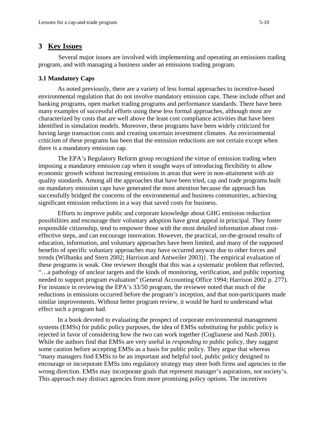## **3 Key Issues**

Several major issues are involved with implementing and operating an emissions trading program, and with managing a business under an emissions trading program.

## **3.1 Mandatory Caps**

As noted previously, there are a variety of less formal approaches to incentive-based environmental regulation that do not involve mandatory emission caps. These include offset and banking programs, open market trading programs and performance standards. There have been many examples of successful efforts using these less formal approaches, although most are characterized by costs that are well above the least cost compliance activities that have been identified in simulation models. Moreover, these programs have been widely criticized for having large transaction costs and creating uncertain investment climates. An environmental criticism of these programs has been that the emission reductions are not certain except when there is a mandatory emission cap.

The EPA's Regulatory Reform group recognized the virtue of emission trading when imposing a mandatory emission cap when it sought ways of introducing flexibility to allow economic growth without increasing emissions in areas that were in non-attainment with air quality standards. Among all the approaches that have been tried, cap and trade programs built on mandatory emission caps have generated the most attention because the approach has successfully bridged the concerns of the environmental and business communities, achieving significant emission reductions in a way that saved costs for business.

Efforts to improve public and corporate knowledge about GHG emission reduction possibilities and encourage their voluntary adoption have great appeal in principal. They foster responsible citizenship, tend to empower those with the most detailed information about costeffective steps, and can encourage innovation. However, the practical, on-the-ground results of education, information, and voluntary approaches have been limited, and many of the supposed benefits of specific voluntary approaches may have occurred anyway due to other forces and trends (Wilbanks and Stern 2002; Harrison and Antweiler 2003)}. The empirical evaluation of these programs is weak. One reviewer thought that this was a systematic problem that reflected, "…a pathology of unclear targets and the kinds of monitoring, verification, and public reporting needed to support program evaluation" (General Accounting Office 1994; Harrison 2002 p. 277). For instance in reviewing the EPA's 33/50 program, the reviewer noted that much of the reductions in emissions occurred before the program's inception, and that non-participants made similar improvements. Without better program review, it would be hard to understand what effect such a program had.

In a book devoted to evaluating the prospect of corporate environmental management systems (EMSs) for public policy purposes, the idea of EMSs substituting for public policy is rejected in favor of considering how the two can work together (Coglianese and Nash 2001). While the authors find that EMSs are very useful in *responding to* public policy, they suggest some caution before accepting EMSs as a basis for public policy. They argue that whereas "many managers find EMSs to be an important and helpful tool, public policy designed to encourage or incorporate EMSs into regulatory strategy may steer both firms and agencies in the wrong direction. EMSs may incorporate goals that represent manager's aspirations, not society's. This approach may distract agencies from more promising policy options. The incentives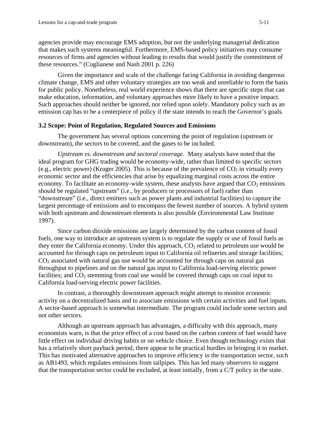agencies provide may encourage EMS adoption, but not the underlying managerial dedication that makes such systems meaningful. Furthermore, EMS-based policy initiatives may consume resources of firms and agencies without leading to results that would justify the commitment of these resources." (Coglianese and Nash 2001 p. 226)

Given the importance and scale of the challenge facing California in avoiding dangerous climate change, EMS and other voluntary strategies are too weak and unreliable to form the basis for public policy. Nonetheless, real world experience shows that there are specific steps that can make education, information, and voluntary approaches more likely to have a positive impact. Such approaches should neither be ignored, nor relied upon solely. Mandatory policy such as an emission cap has to be a centerpiece of policy if the state intends to reach the Governor's goals.

#### **3.2 Scope: Point of Regulation, Regulated Sources and Emissions**

 The government has several options concerning the point of regulation (upstream or downstream), the sectors to be covered, and the gases to be included.

*Upstream vs. downstream and sectoral coverage.* Many analysts have noted that the ideal program for GHG trading would be economy-wide, rather than limited to specific sectors (e.g., electric power) (Kruger 2005). This is because of the prevalence of  $CO<sub>2</sub>$  in virtually every economic sector and the efficiencies that arise by equalizing marginal costs across the entire economy. To facilitate an economy-wide system, these analysts have argued that  $CO<sub>2</sub>$  emissions should be regulated "upstream" (i.e., by producers or processors of fuel) rather than "downstream" (i.e., direct emitters such as power plants and industrial facilities) to capture the largest percentage of emissions and to encompass the fewest number of sources. A hybrid system with both upstream and downstream elements is also possible (Environmental Law Institute 1997).

Since carbon dioxide emissions are largely determined by the carbon content of fossil fuels, one way to introduce an upstream system is to regulate the supply or use of fossil fuels as they enter the California economy. Under this approach,  $CO<sub>2</sub>$  related to petroleum use would be accounted for through caps on petroleum input to California oil refineries and storage facilities;  $CO<sub>2</sub>$  associated with natural gas use would be accounted for through caps on natural gas throughput to pipelines and on the natural gas input to California load-serving electric power facilities; and  $CO<sub>2</sub>$  stemming from coal use would be covered through caps on coal input to California load-serving electric power facilities.

In contrast, a thoroughly downstream approach might attempt to monitor economic activity on a decentralized basis and to associate emissions with certain activities and fuel inputs. A sector-based approach is somewhat intermediate. The program could include some sectors and not other sectors.

 Although an upstream approach has advantages, a difficulty with this approach, many economists warn, is that the price effect of a cost based on the carbon content of fuel would have little effect on individual driving habits or on vehicle choice. Even though technology exists that has a relatively short payback period, there appear to be practical hurdles in bringing it to market. This has motivated alternative approaches to improve efficiency in the transportation sector, such as AB1493, which regulates emissions from tailpipes. This has led many observers to suggest that the transportation sector could be excluded, at least initially, from a C/T policy in the state.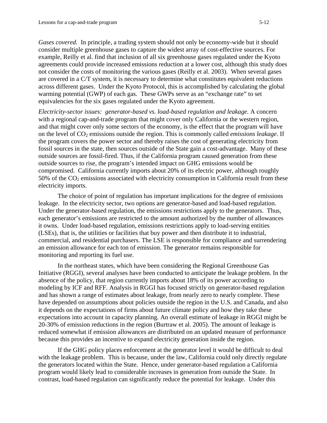*Gases covered.* In principle, a trading system should not only be economy-wide but it should consider multiple greenhouse gases to capture the widest array of cost-effective sources. For example, Reilly et al. find that inclusion of all six greenhouse gases regulated under the Kyoto agreements could provide increased emissions reduction at a lower cost, although this study does not consider the costs of monitoring the various gases (Reilly et al. 2003). When several gases are covered in a C/T system, it is necessary to determine what constitutes equivalent reductions across different gases. Under the Kyoto Protocol, this is accomplished by calculating the global warming potential (GWP) of each gas. These GWPs serve as an "exchange rate" to set equivalencies for the six gases regulated under the Kyoto agreement.

*Electricity-sector issues: generator-based vs. load-based regulation and leakage.* A concern with a regional cap-and-trade program that might cover only California or the western region, and that might cover only some sectors of the economy, is the effect that the program will have on the level of CO<sub>2</sub> emissions outside the region. This is commonly called *emissions leakage*. If the program covers the power sector and thereby raises the cost of generating electricity from fossil sources in the state, then sources outside of the State gain a cost-advantage. Many of these outside sources are fossil-fired. Thus, if the California program caused generation from these outside sources to rise, the program's intended impact on GHG emissions would be compromised. California currently imports about 20% of its electric power, although roughly 50% of the  $CO<sub>2</sub>$  emissions associated with electricity consumption in California result from these electricity imports.

The choice of point of regulation has important implications for the degree of emissions leakage. In the electricity sector, two options are generator-based and load-based regulation. Under the generator-based regulation, the emissions restrictions apply to the generators. Thus, each generator's emissions are restricted to the amount authorized by the number of allowances it owns. Under load-based regulation, emissions restrictions apply to load-serving entities (LSEs), that is, the utilities or facilities that buy power and then distribute it to industrial, commercial, and residential purchasers. The LSE is responsible for compliance and surrendering an emission allowance for each ton of emission. The generator remains responsible for monitoring and reporting its fuel use.

In the northeast states, which have been considering the Regional Greenhouse Gas Initiative (RGGI), several analyses have been conducted to anticipate the leakage problem. In the absence of the policy, that region currently imports about 18% of its power according to modeling by ICF and RFF. Analysis in RGGI has focused strictly on generator-based regulation and has shown a range of estimates about leakage, from nearly zero to nearly complete. These have depended on assumptions about policies outside the region in the U.S. and Canada, and also it depends on the expectations of firms about future climate policy and how they take these expectations into account in capacity planning. An overall estimate of leakage in RGGI might be 20-30% of emission reductions in the region (Burtraw et al. 2005). The amount of leakage is reduced somewhat if emission allowances are distributed on an updated measure of performance because this provides an incentive to expand electricity generation inside the region.

If the GHG policy places enforcement at the generator level it would be difficult to deal with the leakage problem. This is because, under the law, California could only directly regulate the generators located within the State. Hence, under generator-based regulation a California program would likely lead to considerable increases in generation from outside the State. In contrast, load-based regulation can significantly reduce the potential for leakage. Under this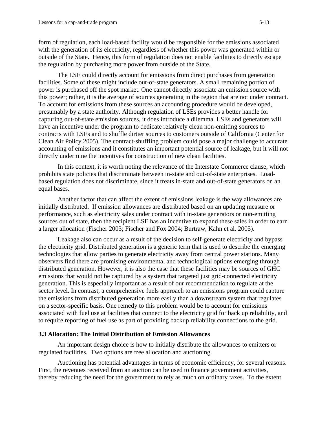form of regulation, each load-based facility would be responsible for the emissions associated with the generation of its electricity, regardless of whether this power was generated within or outside of the State. Hence, this form of regulation does not enable facilities to directly escape the regulation by purchasing more power from outside of the State.

The LSE could directly account for emissions from direct purchases from generation facilities. Some of these might include out-of-state generators. A small remaining portion of power is purchased off the spot market. One cannot directly associate an emission source with this power; rather, it is the average of sources generating in the region that are not under contract. To account for emissions from these sources an accounting procedure would be developed, presumably by a state authority. Although regulation of LSEs provides a better handle for capturing out-of-state emission sources, it does introduce a dilemma. LSEs and generators will have an incentive under the program to dedicate relatively clean non-emitting sources to contracts with LSEs and to shuffle dirtier sources to customers outside of California (Center for Clean Air Policy 2005). The contract-shuffling problem could pose a major challenge to accurate accounting of emissions and it constitutes an important potential source of leakage, but it will not directly undermine the incentives for construction of new clean facilities.

In this context, it is worth noting the relevance of the Interstate Commerce clause, which prohibits state policies that discriminate between in-state and out-of-state enterprises. Loadbased regulation does not discriminate, since it treats in-state and out-of-state generators on an equal bases.

Another factor that can affect the extent of emissions leakage is the way allowances are initially distributed. If emission allowances are distributed based on an updating measure or performance, such as electricity sales under contract with in-state generators or non-emitting sources out of state, then the recipient LSE has an incentive to expand these sales in order to earn a larger allocation (Fischer 2003; Fischer and Fox 2004; Burtraw, Kahn et al. 2005).

Leakage also can occur as a result of the decision to self-generate electricity and bypass the electricity grid. Distributed generation is a generic term that is used to describe the emerging technologies that allow parties to generate electricity away from central power stations. Many observers find there are promising environmental and technological options emerging through distributed generation. However, it is also the case that these facilities may be sources of GHG emissions that would not be captured by a system that targeted just grid-connected electricity generation. This is especially important as a result of our recommendation to regulate at the sector level. In contrast, a comprehensive fuels approach to an emissions program could capture the emissions from distributed generation more easily than a downstream system that regulates on a sector-specific basis. One remedy to this problem would be to account for emissions associated with fuel use at facilities that connect to the electricity grid for back up reliability, and to require reporting of fuel use as part of providing backup reliability connections to the grid.

#### **3.3 Allocation: The Initial Distribution of Emission Allowances**

 An important design choice is how to initially distribute the allowances to emitters or regulated facilities. Two options are free allocation and auctioning.

 Auctioning has potential advantages in terms of economic efficiency, for several reasons. First, the revenues received from an auction can be used to finance government activities, thereby reducing the need for the government to rely as much on ordinary taxes. To the extent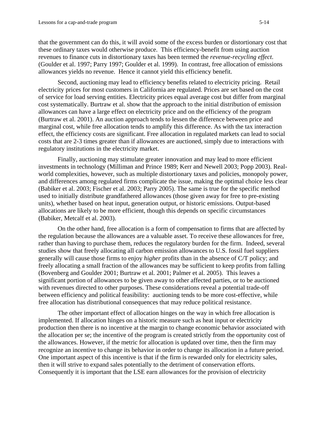that the government can do this, it will avoid some of the excess burden or distortionary cost that these ordinary taxes would otherwise produce. This efficiency-benefit from using auction revenues to finance cuts in distortionary taxes has been termed the *revenue-recycling effect*. (Goulder et al. 1997; Parry 1997; Goulder et al. 1999). In contrast, free allocation of emissions allowances yields no revenue. Hence it cannot yield this efficiency benefit.

 Second, auctioning may lead to efficiency benefits related to electricity pricing. Retail electricity prices for most customers in California are regulated. Prices are set based on the cost of service for load serving entities. Electricity prices equal average cost but differ from marginal cost systematically. Burtraw et al. show that the approach to the initial distribution of emission allowances can have a large effect on electricity price and on the efficiency of the program (Burtraw et al. 2001). An auction approach tends to lessen the difference between price and marginal cost, while free allocation tends to amplify this difference. As with the tax interaction effect, the efficiency costs are significant. Free allocation in regulated markets can lead to social costs that are 2-3 times greater than if allowances are auctioned, simply due to interactions with regulatory institutions in the electricity market.

Finally, auctioning may stimulate greater innovation and may lead to more efficient investments in technology (Milliman and Prince 1989; Kerr and Newell 2003; Popp 2003). Realworld complexities, however, such as multiple distortionary taxes and policies, monopoly power, and differences among regulated firms complicate the issue, making the optimal choice less clear (Babiker et al. 2003; Fischer et al. 2003; Parry 2005). The same is true for the specific method used to initially distribute grandfathered allowances (those given away for free to pre-existing units), whether based on heat input, generation output, or historic emissions. Output-based allocations are likely to be more efficient, though this depends on specific circumstances (Babiker, Metcalf et al. 2003).

 On the other hand, free allocation is a form of compensation to firms that are affected by the regulation because the allowances are a valuable asset. To receive these allowances for free, rather than having to purchase them, reduces the regulatory burden for the firm. Indeed, several studies show that freely allocating all carbon emission allowances to U.S. fossil fuel suppliers generally will cause those firms to enjoy *higher* profits than in the absence of C/T policy; and freely allocating a small fraction of the allowances may be sufficient to keep profits from falling (Bovenberg and Goulder 2001; Burtraw et al. 2001; Palmer et al. 2005). This leaves a significant portion of allowances to be given away to other affected parties, or to be auctioned with revenues directed to other purposes. These considerations reveal a potential trade-off between efficiency and political feasibility: auctioning tends to be more cost-effective, while free allocation has distributional consequences that may reduce political resistance.

 The other important effect of allocation hinges on the way in which free allocation is implemented. If allocation hinges on a historic measure such as heat input or electricity production then there is no incentive at the margin to change economic behavior associated with the allocation per se; the incentive of the program is created strictly from the opportunity cost of the allowances. However, if the metric for allocation is updated over time, then the firm may recognize an incentive to change its behavior in order to change its allocation in a future period. One important aspect of this incentive is that if the firm is rewarded only for electricity sales, then it will strive to expand sales potentially to the detriment of conservation efforts. Consequently it is important that the LSE earn allowances for the provision of electricity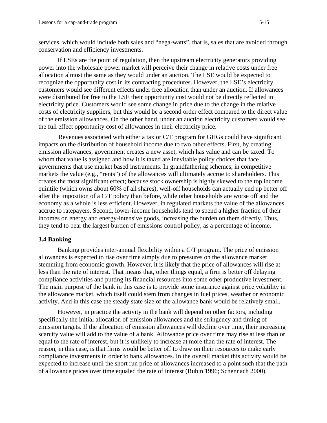services, which would include both sales and "nega-watts", that is, sales that are avoided through conservation and efficiency investments.

If LSEs are the point of regulation, then the upstream electricity generators providing power into the wholesale power market will perceive their change in relative costs under free allocation almost the same as they would under an auction. The LSE would be expected to recognize the opportunity cost in its contracting procedures. However, the LSE's electricity customers would see different effects under free allocation than under an auction. If allowances were distributed for free to the LSE their opportunity cost would not be directly reflected in electricity price. Customers would see some change in price due to the change in the relative costs of electricity suppliers, but this would be a second order effect compared to the direct value of the emission allowances. On the other hand, under an auction electricity customers would see the full effect opportunity cost of allowances in their electricity price.

Revenues associated with either a tax or C/T program for GHGs could have significant impacts on the distribution of household income due to two other effects. First, by creating emission allowances, government creates a new asset, which has value and can be taxed. To whom that value is assigned and how it is taxed are inevitable policy choices that face governments that use market based instruments. In grandfathering schemes, in competitive markets the value (e.g., "rents") of the allowances will ultimately accrue to shareholders. This creates the most significant effect; because stock ownership is highly skewed to the top income quintile (which owns about 60% of all shares), well-off households can actually end up better off after the imposition of a C/T policy than before, while other households are worse off and the economy as a whole is less efficient. However, in regulated markets the value of the allowances accrue to ratepayers. Second, lower-income households tend to spend a higher fraction of their incomes on energy and energy-intensive goods, increasing the burden on them directly. Thus, they tend to bear the largest burden of emissions control policy, as a percentage of income.

#### **3.4 Banking**

Banking provides inter-annual flexibility within a C/T program. The price of emission allowances is expected to rise over time simply due to pressures on the allowance market stemming from economic growth. However, it is likely that the price of allowances will rise at less than the rate of interest. That means that, other things equal, a firm is better off delaying compliance activities and putting its financial resources into some other productive investment. The main purpose of the bank in this case is to provide some insurance against price volatility in the allowance market, which itself could stem from changes in fuel prices, weather or economic activity. And in this case the steady state size of the allowance bank would be relatively small.

However, in practice the activity in the bank will depend on other factors, including specifically the initial allocation of emission allowances and the stringency and timing of emission targets. If the allocation of emission allowances will decline over time, their increasing scarcity value will add to the value of a bank. Allowance price over time may rise at less than or equal to the rate of interest, but it is unlikely to increase at more than the rate of interest. The reason, in this case, is that firms would be better off to draw on their resources to make early compliance investments in order to bank allowances. In the overall market this activity would be expected to increase until the short run price of allowances increased to a point such that the path of allowance prices over time equaled the rate of interest (Rubin 1996; Schennach 2000).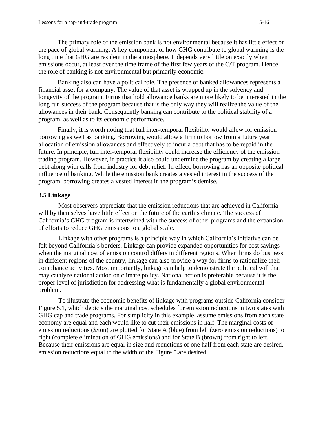The primary role of the emission bank is not environmental because it has little effect on the pace of global warming. A key component of how GHG contribute to global warming is the long time that GHG are resident in the atmosphere. It depends very little on exactly when emissions occur, at least over the time frame of the first few years of the C/T program. Hence, the role of banking is not environmental but primarily economic.

Banking also can have a political role. The presence of banked allowances represents a financial asset for a company. The value of that asset is wrapped up in the solvency and longevity of the program. Firms that hold allowance banks are more likely to be interested in the long run success of the program because that is the only way they will realize the value of the allowances in their bank. Consequently banking can contribute to the political stability of a program, as well as to its economic performance.

Finally, it is worth noting that full inter-temporal flexibility would allow for emission borrowing as well as banking. Borrowing would allow a firm to borrow from a future year allocation of emission allowances and effectively to incur a debt that has to be repaid in the future. In principle, full inter-temporal flexibility could increase the efficiency of the emission trading program. However, in practice it also could undermine the program by creating a large debt along with calls from industry for debt relief. In effect, borrowing has an opposite political influence of banking. While the emission bank creates a vested interest in the success of the program, borrowing creates a vested interest in the program's demise.

#### **3.5 Linkage**

Most observers appreciate that the emission reductions that are achieved in California will by themselves have little effect on the future of the earth's climate. The success of California's GHG program is intertwined with the success of other programs and the expansion of efforts to reduce GHG emissions to a global scale.

Linkage with other programs is a principle way in which California's initiative can be felt beyond California's borders. Linkage can provide expanded opportunities for cost savings when the marginal cost of emission control differs in different regions. When firms do business in different regions of the country, linkage can also provide a way for firms to rationalize their compliance activities. Most importantly, linkage can help to demonstrate the political will that may catalyze national action on climate policy. National action is preferable because it is the proper level of jurisdiction for addressing what is fundamentally a global environmental problem.

To illustrate the economic benefits of linkage with programs outside California consider Figure 5.1, which depicts the marginal cost schedules for emission reductions in two states with GHG cap and trade programs. For simplicity in this example, assume emissions from each state economy are equal and each would like to cut their emissions in half. The marginal costs of emission reductions (\$/ton) are plotted for State A (blue) from left (zero emission reductions) to right (complete elimination of GHG emissions) and for State B (brown) from right to left. Because their emissions are equal in size and reductions of one half from each state are desired, emission reductions equal to the width of the Figure 5.are desired.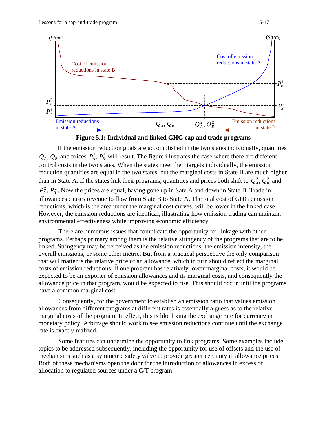



If the emission reduction goals are accomplished in the two states individually, quantities  $Q_A^1, Q_B^1$  and prices  $P_A^1, P_B^1$  will result. The figure illustrates the case where there are different control costs in the two states. When the states meet their targets individually, the emission reduction quantities are equal in the two states, but the marginal costs in State B are much higher than in State A. If the states link their programs, quantities and prices both shift to  $Q_A^2$ ,  $Q_B^2$  and  $P_{A}^{2}$ ,  $P_{B}^{2}$ . Now the prices are equal, having gone up in Sate A and down in State B. Trade in allowances causes revenue to flow from State B to State A. The total cost of GHG emission reductions, which is the area under the marginal cost curves, will be lower in the linked case. However, the emission reductions are identical, illustrating how emission trading can maintain environmental effectiveness while improving economic efficiency.

There are numerous issues that complicate the opportunity for linkage with other programs. Perhaps primary among them is the relative stringency of the programs that are to be linked. Stringency may be perceived as the emission reductions, the emission intensity, the overall emissions, or some other metric. But from a practical perspective the only comparison that will matter is the relative price of an allowance, which in turn should reflect the marginal costs of emission reductions. If one program has relatively lower marginal costs, it would be expected to be an exporter of emission allowances and its marginal costs, and consequently the allowance price in that program, would be expected to rise. This should occur until the programs have a common marginal cost.

Consequently, for the government to establish an emission ratio that values emission allowances from different programs at different rates is essentially a guess as to the relative marginal costs of the program. In effect, this is like fixing the exchange rate for currency in monetary policy. Arbitrage should work to see emission reductions continue until the exchange rate is exactly realized.

Some features can undermine the opportunity to link programs. Some examples include topics to be addressed subsequently, including the opportunity for use of offsets and the use of mechanisms such as a symmetric safety valve to provide greater certainty in allowance prices. Both of these mechanisms open the door for the introduction of allowances in excess of allocation to regulated sources under a C/T program.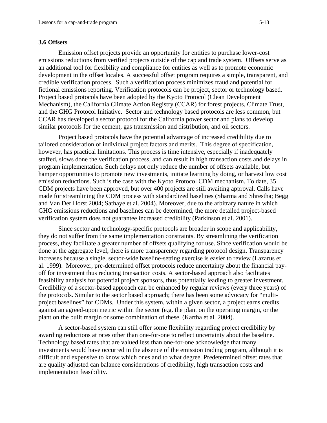#### **3.6 Offsets**

Emission offset projects provide an opportunity for entities to purchase lower-cost emissions reductions from verified projects outside of the cap and trade system. Offsets serve as an additional tool for flexibility and compliance for entities as well as to promote economic development in the offset locales. A successful offset program requires a simple, transparent, and credible verification process. Such a verification process minimizes fraud and potential for fictional emissions reporting. Verification protocols can be project, sector or technology based. Project based protocols have been adopted by the Kyoto Protocol (Clean Development Mechanism), the California Climate Action Registry (CCAR) for forest projects, Climate Trust, and the GHG Protocol Initiative. Sector and technology based protocols are less common, but CCAR has developed a sector protocol for the California power sector and plans to develop similar protocols for the cement, gas transmission and distribution, and oil sectors.

Project based protocols have the potential advantage of increased credibility due to tailored consideration of individual project factors and merits. This degree of specification, however, has practical limitations. This process is time intensive, especially if inadequately staffed, slows done the verification process, and can result in high transaction costs and delays in program implementation. Such delays not only reduce the number of offsets available, but hamper opportunities to promote new investments, initiate learning by doing, or harvest low cost emission reductions. Such is the case with the Kyoto Protocol CDM mechanism. To date, 35 CDM projects have been approved, but over 400 projects are still awaiting approval. Calls have made for streamlining the CDM process with standardized baselines (Sharma and Shrestha; Begg and Van Der Horst 2004; Sathaye et al. 2004). Moreover, due to the arbitrary nature in which GHG emissions reductions and baselines can be determined, the more detailed project-based verification system does not guarantee increased credibility (Parkinson et al. 2001).

Since sector and technology-specific protocols are broader in scope and applicability, they do not suffer from the same implementation constraints. By streamlining the verification process, they facilitate a greater number of offsets qualifying for use. Since verification would be done at the aggregate level, there is more transparency regarding protocol design. Transparency increases because a single, sector-wide baseline-setting exercise is easier to review (Lazarus et al. 1999). Moreover, pre-determined offset protocols reduce uncertainty about the financial payoff for investment thus reducing transaction costs. A sector-based approach also facilitates feasibility analysis for potential project sponsors, thus potentially leading to greater investment. Credibility of a sector-based approach can be enhanced by regular reviews (every three years) of the protocols. Similar to the sector based approach; there has been some advocacy for "multiproject baselines" for CDMs. Under this system, within a given sector, a project earns credits against an agreed-upon metric within the sector (e.g. the plant on the operating margin, or the plant on the built margin or some combination of these. (Kartha et al. 2004).

A sector-based system can still offer some flexibility regarding project credibility by awarding reductions at rates other than one-for-one to reflect uncertainty about the baseline. Technology based rates that are valued less than one-for-one acknowledge that many investments would have occurred in the absence of the emission trading program, although it is difficult and expensive to know which ones and to what degree. Predetermined offset rates that are quality adjusted can balance considerations of credibility, high transaction costs and implementation feasibility.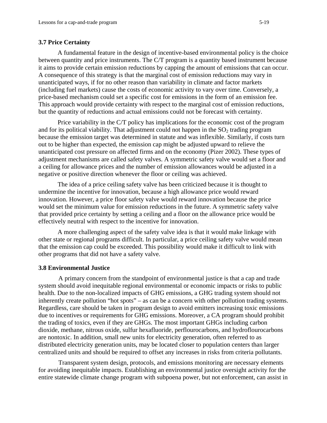#### **3.7 Price Certainty**

A fundamental feature in the design of incentive-based environmental policy is the choice between quantity and price instruments. The C/T program is a quantity based instrument because it aims to provide certain emission reductions by capping the amount of emissions that can occur. A consequence of this strategy is that the marginal cost of emission reductions may vary in unanticipated ways, if for no other reason than variability in climate and factor markets (including fuel markets) cause the costs of economic activity to vary over time. Conversely, a price-based mechanism could set a specific cost for emissions in the form of an emission fee. This approach would provide certainty with respect to the marginal cost of emission reductions, but the quantity of reductions and actual emissions could not be forecast with certainty.

Price variability in the C/T policy has implications for the economic cost of the program and for its political viability. That adjustment could not happen in the  $SO<sub>2</sub>$  trading program because the emission target was determined in statute and was inflexible. Similarly, if costs turn out to be higher than expected, the emission cap might be adjusted upward to relieve the unanticipated cost pressure on affected firms and on the economy (Pizer 2002). These types of adjustment mechanisms are called safety valves. A symmetric safety valve would set a floor and a ceiling for allowance prices and the number of emission allowances would be adjusted in a negative or positive direction whenever the floor or ceiling was achieved.

The idea of a price ceiling safety valve has been criticized because it is thought to undermine the incentive for innovation, because a high allowance price would reward innovation. However, a price floor safety valve would reward innovation because the price would set the minimum value for emission reductions in the future. A symmetric safety valve that provided price certainty by setting a ceiling and a floor on the allowance price would be effectively neutral with respect to the incentive for innovation.

A more challenging aspect of the safety valve idea is that it would make linkage with other state or regional programs difficult. In particular, a price ceiling safety valve would mean that the emission cap could be exceeded. This possibility would make it difficult to link with other programs that did not have a safety valve.

#### **3.8 Environmental Justice**

A primary concern from the standpoint of environmental justice is that a cap and trade system should avoid inequitable regional environmental or economic impacts or risks to public health. Due to the non-localized impacts of GHG emissions, a GHG trading system should not inherently create pollution "hot spots" – as can be a concern with other pollution trading systems. Regardless, care should be taken in program design to avoid emitters increasing toxic emissions due to incentives or requirements for GHG emissions. Moreover, a CA program should prohibit the trading of toxics, even if they are GHGs. The most important GHGs including carbon dioxide, methane, nitrous oxide, sulfur hexafluoride, perflourocarbons, and hydroflourocarbons are nontoxic. In addition, small new units for electricity generation, often referred to as distributed electricity generation units, may be located closer to population centers than larger centralized units and should be required to offset any increases in risks from criteria pollutants.

Transparent system design, protocols, and emissions monitoring are necessary elements for avoiding inequitable impacts. Establishing an environmental justice oversight activity for the entire statewide climate change program with subpoena power, but not enforcement, can assist in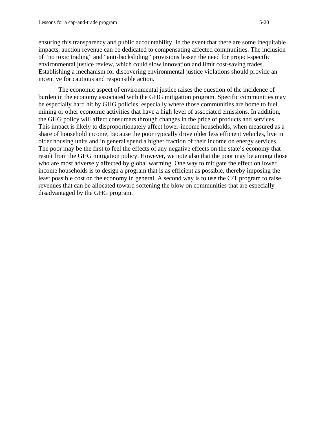ensuring this transparency and public accountability. In the event that there are some inequitable impacts, auction revenue can be dedicated to compensating affected communities. The inclusion of "no toxic trading" and "anti-backsliding" provisions lessen the need for project-specific environmental justice review, which could slow innovation and limit cost-saving trades. Establishing a mechanism for discovering environmental justice violations should provide an incentive for cautious and responsible action.

The economic aspect of environmental justice raises the question of the incidence of burden in the economy associated with the GHG mitigation program. Specific communities may be especially hard hit by GHG policies, especially where those communities are home to fuel mining or other economic activities that have a high level of associated emissions. In addition, the GHG policy will affect consumers through changes in the price of products and services. This impact is likely to disproportionately affect lower-income households, when measured as a share of household income, because the poor typically drive older less efficient vehicles, live in older housing units and in general spend a higher fraction of their income on energy services. The poor may be the first to feel the effects of any negative effects on the state's economy that result from the GHG mitigation policy. However, we note also that the poor may be among those who are most adversely affected by global warming. One way to mitigate the effect on lower income households is to design a program that is as efficient as possible, thereby imposing the least possible cost on the economy in general. A second way is to use the C/T program to raise revenues that can be allocated toward softening the blow on communities that are especially disadvantaged by the GHG program.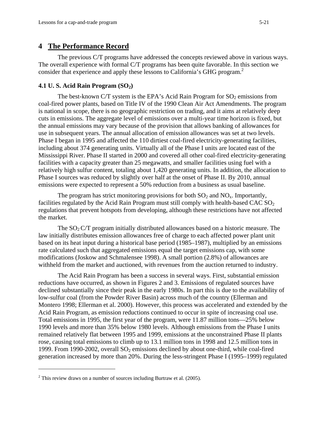## **4 The Performance Record**

The previous C/T programs have addressed the concepts reviewed above in various ways. The overall experience with formal C/T programs has been quite favorable. In this section we consider that experience and apply these lessons to California's GHG program.<sup>2</sup>

## **4.1 U. S. Acid Rain Program (SO<sub>2</sub>)**

The best-known C/T system is the EPA's Acid Rain Program for  $SO_2$  emissions from coal-fired power plants, based on Title IV of the 1990 Clean Air Act Amendments. The program is national in scope, there is no geographic restriction on trading, and it aims at relatively deep cuts in emissions. The aggregate level of emissions over a multi-year time horizon is fixed, but the annual emissions may vary because of the provision that allows banking of allowances for use in subsequent years. The annual allocation of emission allowances was set at two levels. Phase I began in 1995 and affected the 110 dirtiest coal-fired electricity-generating facilities, including about 374 generating units. Virtually all of the Phase I units are located east of the Mississippi River. Phase II started in 2000 and covered all other coal-fired electricity-generating facilities with a capacity greater than 25 megawatts, and smaller facilities using fuel with a relatively high sulfur content, totaling about 1,420 generating units. In addition, the allocation to Phase I sources was reduced by slightly over half at the onset of Phase II. By 2010, annual emissions were expected to represent a 50% reduction from a business as usual baseline.

The program has strict monitoring provisions for both  $SO_2$  and  $NO<sub>x</sub>$ . Importantly, facilities regulated by the Acid Rain Program must still comply with health-based CAC  $SO_2$ regulations that prevent hotspots from developing, although these restrictions have not affected the market.

The  $SO_2$  C/T program initially distributed allowances based on a historic measure. The law initially distributes emission allowances free of charge to each affected power plant unit based on its heat input during a historical base period (1985–1987), multiplied by an emissions rate calculated such that aggregated emissions equal the target emissions cap, with some modifications (Joskow and Schmalensee 1998). A small portion (2.8%) of allowances are withheld from the market and auctioned, with revenues from the auction returned to industry.

The Acid Rain Program has been a success in several ways. First, substantial emission reductions have occurred, as shown in Figures 2 and 3. Emissions of regulated sources have declined substantially since their peak in the early 1980s. In part this is due to the availability of low-sulfur coal (from the Powder River Basin) across much of the country (Ellerman and Montero 1998; Ellerman et al. 2000). However, this process was accelerated and extended by the Acid Rain Program, as emission reductions continued to occur in spite of increasing coal use. Total emissions in 1995, the first year of the program, were 11.87 million tons—25% below 1990 levels and more than 35% below 1980 levels. Although emissions from the Phase I units remained relatively flat between 1995 and 1999, emissions at the unconstrained Phase II plants rose, causing total emissions to climb up to 13.1 million tons in 1998 and 12.5 million tons in 1999. From 1990-2002, overall  $SO<sub>2</sub>$  emissions declined by about one-third, while coal-fired generation increased by more than 20%. During the less-stringent Phase I (1995–1999) regulated

 $\overline{a}$ 

<sup>&</sup>lt;sup>2</sup> This review draws on a number of sources including Burtraw et al. (2005).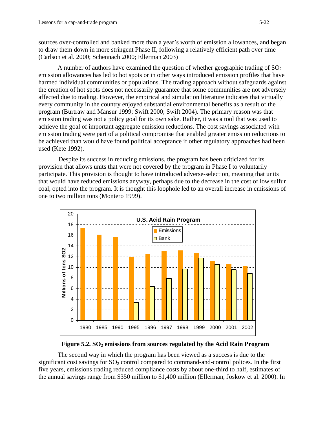sources over-controlled and banked more than a year's worth of emission allowances, and began to draw them down in more stringent Phase II, following a relatively efficient path over time (Carlson et al. 2000; Schennach 2000; Ellerman 2003)

A number of authors have examined the question of whether geographic trading of  $SO<sub>2</sub>$ emission allowances has led to hot spots or in other ways introduced emission profiles that have harmed individual communities or populations. The trading approach without safeguards against the creation of hot spots does not necessarily guarantee that some communities are not adversely affected due to trading. However, the empirical and simulation literature indicates that virtually every community in the country enjoyed substantial environmental benefits as a result of the program (Burtraw and Mansur 1999; Swift 2000; Swift 2004). The primary reason was that emission trading was not a policy goal for its own sake. Rather, it was a tool that was used to achieve the goal of important aggregate emission reductions. The cost savings associated with emission trading were part of a political compromise that enabled greater emission reductions to be achieved than would have found political acceptance if other regulatory approaches had been used (Kete 1992).

Despite its success in reducing emissions, the program has been criticized for its provision that allows units that were not covered by the program in Phase I to voluntarily participate. This provision is thought to have introduced adverse-selection, meaning that units that would have reduced emissions anyway, perhaps due to the decrease in the cost of low sulfur coal, opted into the program. It is thought this loophole led to an overall increase in emissions of one to two million tons (Montero 1999).





The second way in which the program has been viewed as a success is due to the significant cost savings for  $SO_2$  control compared to command-and-control polices. In the first five years, emissions trading reduced compliance costs by about one-third to half, estimates of the annual savings range from \$350 million to \$1,400 million (Ellerman, Joskow et al. 2000). In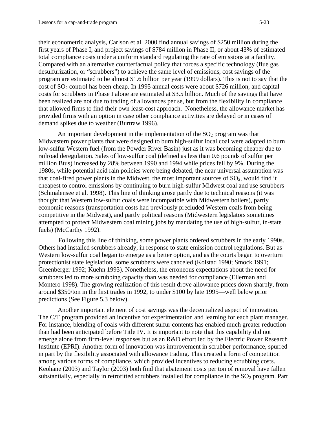their econometric analysis, Carlson et al. 2000 find annual savings of \$250 million during the first years of Phase I, and project savings of \$784 million in Phase II, or about 43% of estimated total compliance costs under a uniform standard regulating the rate of emissions at a facility. Compared with an alternative counterfactual policy that forces a specific technology (flue gas desulfurization, or "scrubbers") to achieve the same level of emissions, cost savings of the program are estimated to be almost \$1.6 billion per year (1999 dollars). This is not to say that the cost of SO2 control has been cheap. In 1995 annual costs were about \$726 million, and capital costs for scrubbers in Phase I alone are estimated at \$3.5 billion. Much of the savings that have been realized are not due to trading of allowances per se, but from the flexibility in compliance that allowed firms to find their own least-cost approach. Nonetheless, the allowance market has provided firms with an option in case other compliance activities are delayed or in cases of demand spikes due to weather (Burtraw 1996).

An important development in the implementation of the  $SO<sub>2</sub>$  program was that Midwestern power plants that were designed to burn high-sulfur local coal were adapted to burn low-sulfur Western fuel (from the Powder River Basin) just as it was becoming cheaper due to railroad deregulation. Sales of low-sulfur coal (defined as less than 0.6 pounds of sulfur per million Btus) increased by 28% between 1990 and 1994 while prices fell by 9%. During the 1980s, while potential acid rain policies were being debated, the near universal assumption was that coal-fired power plants in the Midwest, the most important sources of  $SO<sub>2</sub>$ , would find it cheapest to control emissions by continuing to burn high-sulfur Midwest coal and use scrubbers (Schmalensee et al. 1998). This line of thinking arose partly due to technical reasons (it was thought that Western low-sulfur coals were incompatible with Midwestern boilers), partly economic reasons (transportation costs had previously precluded Western coals from being competitive in the Midwest), and partly political reasons (Midwestern legislators sometimes attempted to protect Midwestern coal mining jobs by mandating the use of high-sulfur, in-state fuels) (McCarthy 1992).

Following this line of thinking, some power plants ordered scrubbers in the early 1990s. Others had installed scrubbers already, in response to state emission control regulations. But as Western low-sulfur coal began to emerge as a better option, and as the courts began to overturn protectionist state legislation, some scrubbers were canceled (Kolstad 1990; Smock 1991; Greenberger 1992; Kuehn 1993). Nonetheless, the erroneous expectations about the need for scrubbers led to more scrubbing capacity than was needed for compliance (Ellerman and Montero 1998). The growing realization of this result drove allowance prices down sharply, from around \$350/ton in the first trades in 1992, to under \$100 by late 1995—well below prior predictions (See Figure 5.3 below).

Another important element of cost savings was the decentralized aspect of innovation. The C/T program provided an incentive for experimentation and learning for each plant manager. For instance, blending of coals with different sulfur contents has enabled much greater reduction than had been anticipated before Title IV. It is important to note that this capability did not emerge alone from firm-level responses but as an R&D effort led by the Electric Power Research Institute (EPRI). Another form of innovation was improvement in scrubber performance, spurred in part by the flexibility associated with allowance trading. This created a form of competition among various forms of compliance, which provided incentives to reducing scrubbing costs. Keohane (2003) and Taylor (2003) both find that abatement costs per ton of removal have fallen substantially, especially in retrofitted scrubbers installed for compliance in the  $SO<sub>2</sub>$  program. Part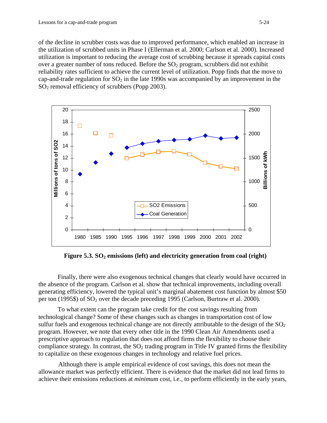of the decline in scrubber costs was due to improved performance, which enabled an increase in the utilization of scrubbed units in Phase I (Ellerman et al. 2000; Carlson et al. 2000). Increased utilization is important to reducing the average cost of scrubbing because it spreads capital costs over a greater number of tons reduced. Before the  $SO<sub>2</sub>$  program, scrubbers did not exhibit reliability rates sufficient to achieve the current level of utilization. Popp finds that the move to cap-and-trade regulation for  $SO_2$  in the late 1990s was accompanied by an improvement in the  $SO<sub>2</sub>$  removal efficiency of scrubbers (Popp 2003).



Figure 5.3. SO<sub>2</sub> emissions (left) and electricity generation from coal (right)

Finally, there were also exogenous technical changes that clearly would have occurred in the absence of the program. Carlson et al. show that technical improvements, including overall generating efficiency, lowered the typical unit's marginal abatement cost function by almost \$50 per ton (1995\$) of  $SO_2$  over the decade preceding 1995 (Carlson, Burtraw et al. 2000).

To what extent can the program take credit for the cost savings resulting from technological change? Some of these changes such as changes in transportation cost of low sulfur fuels and exogenous technical change are not directly attributable to the design of the  $SO<sub>2</sub>$ program. However, we note that every other title in the 1990 Clean Air Amendments used a prescriptive approach to regulation that does not afford firms the flexibility to choose their compliance strategy. In contrast, the  $SO<sub>2</sub>$  trading program in Title IV granted firms the flexibility to capitalize on these exogenous changes in technology and relative fuel prices.

Although there is ample empirical evidence of cost savings, this does not mean the allowance market was perfectly efficient. There is evidence that the market did not lead firms to achieve their emissions reductions at *minimum* cost, i.e., to perform efficiently in the early years,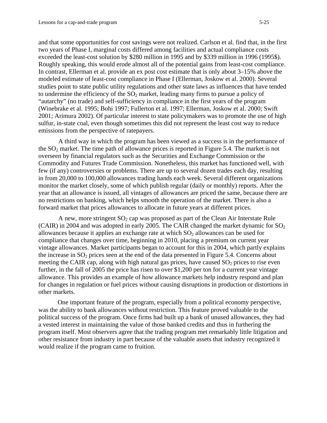and that some opportunities for cost savings were not realized. Carlson et al. find that, in the first two years of Phase I, marginal costs differed among facilities and actual compliance costs exceeded the least-cost solution by \$280 million in 1995 and by \$339 million in 1996 (1995\$). Roughly speaking, this would erode almost all of the potential gains from least-cost compliance. In contrast, Ellerman et al. provide an ex post cost estimate that is only about 3–15% above the modeled estimate of least-cost compliance in Phase I (Ellerman, Joskow et al. 2000). Several studies point to state public utility regulations and other state laws as influences that have tended to undermine the efficiency of the  $SO_2$  market, leading many firms to pursue a policy of "autarchy" (no trade) and self-sufficiency in compliance in the first years of the program (Winebrake et al. 1995; Bohi 1997; Fullerton et al. 1997; Ellerman, Joskow et al. 2000; Swift 2001; Arimura 2002). Of particular interest to state policymakers was to promote the use of high sulfur, in-state coal, even though sometimes this did not represent the least cost way to reduce emissions from the perspective of ratepayers.

A third way in which the program has been viewed as a success is in the performance of the  $SO<sub>2</sub>$  market. The time path of allowance prices is reported in Figure 5.4. The market is not overseen by financial regulators such as the Securities and Exchange Commission or the Commodity and Futures Trade Commission. Nonetheless, this market has functioned well, with few (if any) controversies or problems. There are up to several dozen trades each day, resulting in from 20,000 to 100,000 allowances trading hands each week. Several different organizations monitor the market closely, some of which publish regular (daily or monthly) reports. After the year that an allowance is issued, all vintages of allowances are priced the same, because there are no restrictions on banking, which helps smooth the operation of the market. There is also a forward market that prices allowances to allocate in future years at different prices.

A new, more stringent  $SO_2$  cap was proposed as part of the Clean Air Interstate Rule (CAIR) in 2004 and was adopted in early 2005. The CAIR changed the market dynamic for  $SO_2$ allowances because it applies an exchange rate at which  $SO_2$  allowances can be used for compliance that changes over time, beginning in 2010, placing a premium on current year vintage allowances. Market participants began to account for this in 2004, which partly explains the increase in  $SO<sub>2</sub>$  prices seen at the end of the data presented in Figure 5.4. Concerns about meeting the CAIR cap, along with high natural gas prices, have caused  $SO<sub>2</sub>$  prices to rise even further, in the fall of 2005 the price has risen to over \$1,200 per ton for a current year vintage allowance. This provides an example of how allowance markets help industry respond and plan for changes in regulation or fuel prices without causing disruptions in production or distortions in other markets.

One important feature of the program, especially from a political economy perspective, was the ability to bank allowances without restriction. This feature proved valuable to the political success of the program. Once firms had built up a bank of unused allowances, they had a vested interest in maintaining the value of those banked credits and thus in furthering the program itself. Most observers agree that the trading program met remarkably little litigation and other resistance from industry in part because of the valuable assets that industry recognized it would realize if the program came to fruition.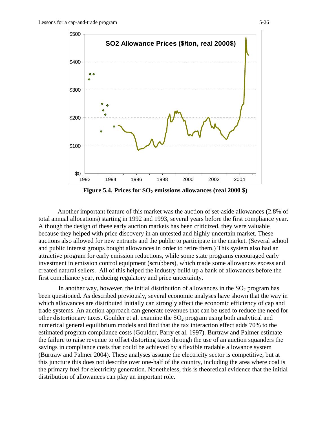

**Figure 5.4. Prices for SO<sub>2</sub> emissions allowances (real 2000 \$)** 

Another important feature of this market was the auction of set-aside allowances (2.8% of total annual allocations) starting in 1992 and 1993, several years before the first compliance year. Although the design of these early auction markets has been criticized, they were valuable because they helped with price discovery in an untested and highly uncertain market. These auctions also allowed for new entrants and the public to participate in the market. (Several school and public interest groups bought allowances in order to retire them.) This system also had an attractive program for early emission reductions, while some state programs encouraged early investment in emission control equipment (scrubbers), which made some allowances excess and created natural sellers. All of this helped the industry build up a bank of allowances before the first compliance year, reducing regulatory and price uncertainty.

In another way, however, the initial distribution of allowances in the  $SO<sub>2</sub>$  program has been questioned. As described previously, several economic analyses have shown that the way in which allowances are distributed initially can strongly affect the economic efficiency of cap and trade systems. An auction approach can generate revenues that can be used to reduce the need for other distortionary taxes. Goulder et al. examine the  $SO<sub>2</sub>$  program using both analytical and numerical general equilibrium models and find that the tax interaction effect adds 70% to the estimated program compliance costs (Goulder, Parry et al. 1997). Burtraw and Palmer estimate the failure to raise revenue to offset distorting taxes through the use of an auction squanders the savings in compliance costs that could be achieved by a flexible tradable allowance system (Burtraw and Palmer 2004). These analyses assume the electricity sector is competitive, but at this juncture this does not describe over one-half of the country, including the area where coal is the primary fuel for electricity generation. Nonetheless, this is theoretical evidence that the initial distribution of allowances can play an important role.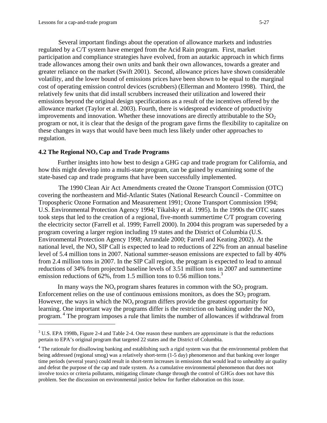1

Several important findings about the operation of allowance markets and industries regulated by a C/T system have emerged from the Acid Rain program. First, market participation and compliance strategies have evolved, from an autarkic approach in which firms trade allowances among their own units and bank their own allowances, towards a greater and greater reliance on the market (Swift 2001). Second, allowance prices have shown considerable volatility, and the lower bound of emissions prices have been shown to be equal to the marginal cost of operating emission control devices (scrubbers) (Ellerman and Montero 1998). Third, the relatively few units that did install scrubbers increased their utilization and lowered their emissions beyond the original design specifications as a result of the incentives offered by the allowance market (Taylor et al. 2003). Fourth, there is widespread evidence of productivity improvements and innovation. Whether these innovations are directly attributable to the  $SO<sub>2</sub>$ program or not, it is clear that the design of the program gave firms the flexibility to capitalize on these changes in ways that would have been much less likely under other approaches to regulation.

#### **4.2 The Regional NO***<sup>x</sup>* **Cap and Trade Programs**

Further insights into how best to design a GHG cap and trade program for California, and how this might develop into a multi-state program, can be gained by examining some of the state-based cap and trade programs that have been successfully implemented.

The 1990 Clean Air Act Amendments created the Ozone Transport Commission (OTC) covering the northeastern and Mid-Atlantic States (National Research Council - Committee on Tropospheric Ozone Formation and Measurement 1991; Ozone Transport Commission 1994; U.S. Environmental Protection Agency 1994; Tikalsky et al. 1995). In the 1990s the OTC states took steps that led to the creation of a regional, five-month summertime C/T program covering the electricity sector (Farrell et al. 1999; Farrell 2000). In 2004 this program was superseded by a program covering a larger region including 19 states and the District of Columbia (U.S. Environmental Protection Agency 1998; Arrandale 2000; Farrell and Keating 2002). At the national level, the  $NO_x$  SIP Call is expected to lead to reductions of 22% from an annual baseline level of 5.4 million tons in 2007. National summer-season emissions are expected to fall by 40% from 2.4 million tons in 2007. In the SIP Call region, the program is expected to lead to annual reductions of 34% from projected baseline levels of 3.51 million tons in 2007 and summertime emission reductions of  $62\%$ , from 1.5 million tons to 0.56 million tons.<sup>3</sup>

In many ways the  $NO<sub>x</sub>$  program shares features in common with the  $SO<sub>2</sub>$  program. Enforcement relies on the use of continuous emissions monitors, as does the  $SO<sub>2</sub>$  program. However, the ways in which the NO*x* program differs provide the greatest opportunity for learning. One important way the programs differ is the restriction on banking under the NO*<sup>x</sup>* program. 4 The program imposes a rule that limits the number of allowances if withdrawal from

 $3$  U.S. EPA 1998b, Figure 2-4 and Table 2-4. One reason these numbers are approximate is that the reductions pertain to EPA's original program that targeted 22 states and the District of Columbia.

<sup>&</sup>lt;sup>4</sup> The rationale for disallowing banking and establishing such a rigid system was that the environmental problem that being addressed (regional smog) was a relatively short-term (1-5 day) phenomenon and that banking over longer time periods (several years) could result in short-term increases in emissions that would lead to unhealthy air quality and defeat the purpose of the cap and trade system. As a cumulative environmental phenomenon that does not involve toxics or criteria pollutants, mitigating climate change through the control of GHGs does not have this problem. See the discussion on environmental justice below for further elaboration on this issue.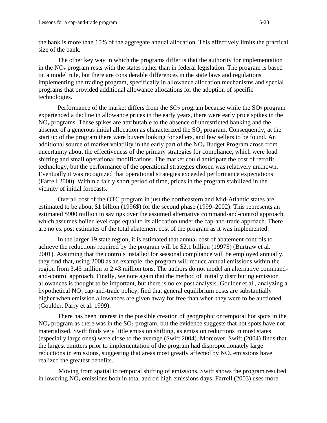the bank is more than 10% of the aggregate annual allocation. This effectively limits the practical size of the bank.

The other key way in which the programs differ is that the authority for implementation in the  $NO<sub>x</sub>$  program rests with the states rather than in federal legislation. The program is based on a model rule, but there are considerable differences in the state laws and regulations implementing the trading program, specifically in allowance allocation mechanisms and special programs that provided additional allowance allocations for the adoption of specific technologies.

Performance of the market differs from the  $SO_2$  program because while the  $SO_2$  program experienced a decline in allowance prices in the early years, there were early price spikes in the  $NO<sub>x</sub>$  programs. These spikes are attributable to the absence of unrestricted banking and the absence of a generous initial allocation as characterized the  $SO<sub>2</sub>$  program. Consequently, at the start up of the program there were buyers looking for sellers, and few sellers to be found. An additional source of market volatility in the early part of the  $NO<sub>x</sub>$  Budget Program arose from uncertainty about the effectiveness of the primary strategies for compliance, which were load shifting and small operational modifications. The market could anticipate the cost of retrofit technology, but the performance of the operational strategies chosen was relatively unknown. Eventually it was recognized that operational strategies exceeded performance expectations (Farrell 2000). Within a fairly short period of time, prices in the program stabilized in the vicinity of initial forecasts.

Overall cost of the OTC program in just the northeastern and Mid-Atlantic states are estimated to be about \$1 billion (1996\$) for the second phase (1999–2002). This represents an estimated \$900 million in savings over the assumed alternative command-and-control approach, which assumes boiler level caps equal to its allocation under the cap-and-trade approach. There are no ex post estimates of the total abatement cost of the program as it was implemented.

In the larger 19 state region, it is estimated that annual cost of abatement controls to achieve the reductions required by the program will be \$2.1 billion (1997\$) (Burtraw et al. 2001). Assuming that the controls installed for seasonal compliance will be employed annually, they find that, using 2008 as an example, the program will reduce annual emissions within the region from 3.45 million to 2.43 million tons. The authors do not model an alternative commandand-control approach. Finally, we note again that the method of initially distributing emission allowances is thought to be important, but there is no ex post analysis. Goulder et al., analyzing a hypothetical NO<sub>x</sub> cap-and-trade policy, find that general equilibrium costs are substantially higher when emission allowances are given away for free than when they were to be auctioned (Goulder, Parry et al. 1999).

There has been interest in the possible creation of geographic or temporal hot spots in the  $NO<sub>x</sub>$  program as there was in the  $SO<sub>2</sub>$  program, but the evidence suggests that hot spots have not materialized. Swift finds very little emission shifting, as emission reductions in most states (especially large ones) were close to the average (Swift 2004). Moreover, Swift (2004) finds that the largest emitters prior to implementation of the program had disproportionately large reductions in emissions, suggesting that areas most greatly affected by  $NO_x$  emissions have realized the greatest benefits.

Moving from spatial to temporal shifting of emissions, Swift shows the program resulted in lowering  $NO<sub>x</sub>$  emissions both in total and on high emissions days. Farrell (2003) uses more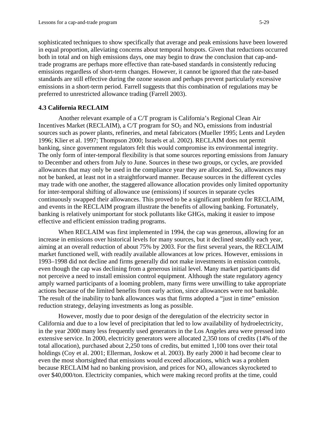sophisticated techniques to show specifically that average and peak emissions have been lowered in equal proportion, alleviating concerns about temporal hotspots. Given that reductions occurred both in total and on high emissions days, one may begin to draw the conclusion that cap-andtrade programs are perhaps more effective than rate-based standards in consistently reducing emissions regardless of short-term changes. However, it cannot be ignored that the rate-based standards are still effective during the ozone season and perhaps prevent particularly excessive emissions in a short-term period. Farrell suggests that this combination of regulations may be preferred to unrestricted allowance trading (Farrell 2003).

#### **4.3 California RECLAIM**

Another relevant example of a C/T program is California's Regional Clean Air Incentives Market (RECLAIM), a C/T program for  $SO_2$  and  $NO<sub>x</sub>$  emissions from industrial sources such as power plants, refineries, and metal fabricators (Mueller 1995; Lents and Leyden 1996; Klier et al. 1997; Thompson 2000; Israels et al. 2002). RECLAIM does not permit banking, since government regulators felt this would compromise its environmental integrity. The only form of inter-temporal flexibility is that some sources reporting emissions from January to December and others from July to June. Sources in these two groups, or cycles, are provided allowances that may only be used in the compliance year they are allocated. So, allowances may not be banked, at least not in a straightforward manner. Because sources in the different cycles may trade with one another, the staggered allowance allocation provides only limited opportunity for inter-temporal shifting of allowance use (emissions) if sources in separate cycles continuously swapped their allowances. This proved to be a significant problem for RECLAIM, and events in the RECLAIM program illustrate the benefits of allowing banking. Fortunately, banking is relatively unimportant for stock pollutants like GHGs, making it easier to impose effective and efficient emission trading programs.

When RECLAIM was first implemented in 1994, the cap was generous, allowing for an increase in emissions over historical levels for many sources, but it declined steadily each year, aiming at an overall reduction of about 75% by 2003. For the first several years, the RECLAIM market functioned well, with readily available allowances at low prices. However, emissions in 1993–1998 did not decline and firms generally did not make investments in emission controls, even though the cap was declining from a generous initial level. Many market participants did not perceive a need to install emission control equipment. Although the state regulatory agency amply warned participants of a looming problem, many firms were unwilling to take appropriate actions because of the limited benefits from early action, since allowances were not bankable. The result of the inability to bank allowances was that firms adopted a "just in time" emission reduction strategy, delaying investments as long as possible.

However, mostly due to poor design of the deregulation of the electricity sector in California and due to a low level of precipitation that led to low availability of hydroelectricity, in the year 2000 many less frequently used generators in the Los Angeles area were pressed into extensive service. In 2000, electricity generators were allocated 2,350 tons of credits (14% of the total allocation), purchased about 2,250 tons of credits, but emitted 1,100 tons over their total holdings (Coy et al. 2001; Ellerman, Joskow et al. 2003). By early 2000 it had become clear to even the most shortsighted that emissions would exceed allocations, which was a problem because RECLAIM had no banking provision, and prices for  $NO<sub>x</sub>$  allowances skyrocketed to over \$40,000/ton. Electricity companies, which were making record profits at the time, could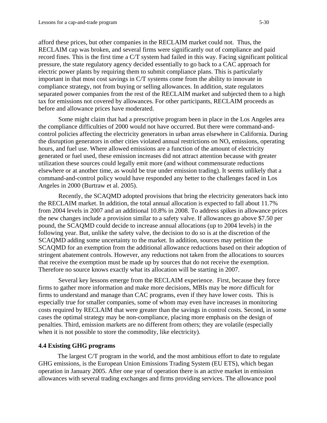afford these prices, but other companies in the RECLAIM market could not. Thus, the RECLAIM cap was broken, and several firms were significantly out of compliance and paid record fines. This is the first time a C/T system had failed in this way. Facing significant political pressure, the state regulatory agency decided essentially to go back to a CAC approach for electric power plants by requiring them to submit compliance plans. This is particularly important in that most cost savings in C/T systems come from the ability to innovate in compliance strategy, not from buying or selling allowances. In addition, state regulators separated power companies from the rest of the RECLAIM market and subjected them to a high tax for emissions not covered by allowances. For other participants, RECLAIM proceeds as before and allowance prices have moderated.

Some might claim that had a prescriptive program been in place in the Los Angeles area the compliance difficulties of 2000 would not have occurred. But there were command-andcontrol policies affecting the electricity generators in urban areas elsewhere in California. During the disruption generators in other cities violated annual restrictions on NO*x* emissions, operating hours, and fuel use. Where allowed emissions are a function of the amount of electricity generated or fuel used, these emission increases did not attract attention because with greater utilization these sources could legally emit more (and without commensurate reductions elsewhere or at another time, as would be true under emission trading). It seems unlikely that a command-and-control policy would have responded any better to the challenges faced in Los Angeles in 2000 (Burtraw et al. 2005).

Recently, the SCAQMD adopted provisions that bring the electricity generators back into the RECLAIM market. In addition, the total annual allocation is expected to fall about 11.7% from 2004 levels in 2007 and an additional 10.8% in 2008. To address spikes in allowance prices the new changes include a provision similar to a safety valve. If allowances go above \$7.50 per pound, the SCAQMD could decide to increase annual allocations (up to 2004 levels) in the following year. But, unlike the safety valve, the decision to do so is at the discretion of the SCAQMD adding some uncertainty to the market. In addition, sources may petition the SCAQMD for an exemption from the additional allowance reductions based on their adoption of stringent abatement controls. However, any reductions not taken from the allocations to sources that receive the exemption must be made up by sources that do not receive the exemption. Therefore no source knows exactly what its allocation will be starting in 2007.

Several key lessons emerge from the RECLAIM experience. First, because they force firms to gather more information and make more decisions, MBIs may be *more* difficult for firms to understand and manage than CAC programs, even if they have lower costs. This is especially true for smaller companies, some of whom may even have increases in monitoring costs required by RECLAIM that were greater than the savings in control costs. Second, in some cases the optimal strategy may be non-compliance, placing more emphasis on the design of penalties. Third, emission markets are no different from others; they are volatile (especially when it is not possible to store the commodity, like electricity).

#### **4.4 Existing GHG programs**

The largest C/T program in the world, and the most ambitious effort to date to regulate GHG emissions, is the European Union Emissions Trading System (EU ETS), which began operation in January 2005. After one year of operation there is an active market in emission allowances with several trading exchanges and firms providing services. The allowance pool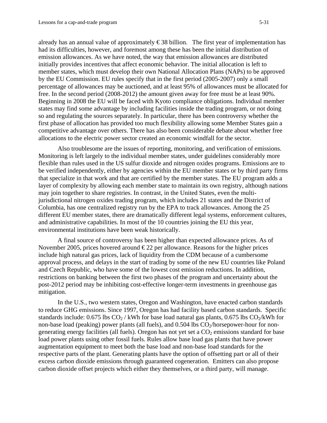already has an annual value of approximately  $\epsilon$ 38 billion. The first year of implementation has had its difficulties, however, and foremost among these has been the initial distribution of emission allowances. As we have noted, the way that emission allowances are distributed initially provides incentives that affect economic behavior. The initial allocation is left to member states, which must develop their own National Allocation Plans (NAPs) to be approved by the EU Commission. EU rules specify that in the first period (2005-2007) only a small percentage of allowances may be auctioned, and at least 95% of allowances must be allocated for free. In the second period (2008-2012) the amount given away for free must be at least 90%. Beginning in 2008 the EU will be faced with Kyoto compliance obligations. Individual member states may find some advantage by including facilities inside the trading program, or not doing so and regulating the sources separately. In particular, there has been controversy whether the first phase of allocation has provided too much flexibility allowing some Member States gain a competitive advantage over others. There has also been considerable debate about whether free allocations to the electric power sector created an economic windfall for the sector.

Also troublesome are the issues of reporting, monitoring, and verification of emissions. Monitoring is left largely to the individual member states, under guidelines considerably more flexible than rules used in the US sulfur dioxide and nitrogen oxides programs. Emissions are to be verified independently, either by agencies within the EU member states or by third party firms that specialize in that work and that are certified by the member states. The EU program adds a layer of complexity by allowing each member state to maintain its own registry, although nations may join together to share registries. In contrast, in the United States, even the multijurisdictional nitrogen oxides trading program, which includes 21 states and the District of Columbia, has one centralized registry run by the EPA to track allowances. Among the 25 different EU member states, there are dramatically different legal systems, enforcement cultures, and administrative capabilities. In most of the 10 countries joining the EU this year, environmental institutions have been weak historically.

A final source of controversy has been higher than expected allowance prices. As of November 2005, prices hovered around  $\epsilon$ 22 per allowance. Reasons for the higher prices include high natural gas prices, lack of liquidity from the CDM because of a cumbersome approval process, and delays in the start of trading by some of the new EU countries like Poland and Czech Republic, who have some of the lowest cost emission reductions. In addition, restrictions on banking between the first two phases of the program and uncertainty about the post-2012 period may be inhibiting cost-effective longer-term investments in greenhouse gas mitigation.

In the U.S., two western states, Oregon and Washington, have enacted carbon standards to reduce GHG emissions. Since 1997, Oregon has had facility based carbon standards. Specific standards include: 0.675 lbs  $CO_2$  / kWh for base load natural gas plants, 0.675 lbs  $CO_2$ /kWh for non-base load (peaking) power plants (all fuels), and  $0.504$  lbs  $CO<sub>2</sub>/horsepower-hour for non$ generating energy facilities (all fuels). Oregon has not yet set a  $CO<sub>2</sub>$  emissions standard for base load power plants using other fossil fuels. Rules allow base load gas plants that have power augmentation equipment to meet both the base load and non-base load standards for the respective parts of the plant. Generating plants have the option of offsetting part or all of their excess carbon dioxide emissions through guaranteed cogeneration. Emitters can also propose carbon dioxide offset projects which either they themselves, or a third party, will manage.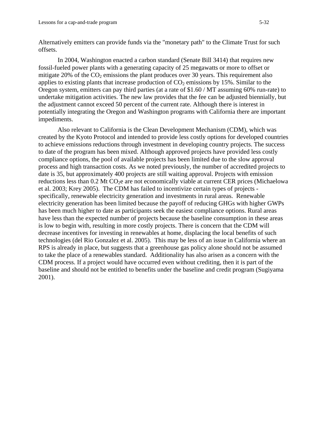Alternatively emitters can provide funds via the "monetary path" to the Climate Trust for such offsets.

In 2004, Washington enacted a carbon standard (Senate Bill 3414) that requires new fossil-fueled power plants with a generating capacity of 25 megawatts or more to offset or mitigate 20% of the  $CO<sub>2</sub>$  emissions the plant produces over 30 years. This requirement also applies to existing plants that increase production of  $CO<sub>2</sub>$  emissions by 15%. Similar to the Oregon system, emitters can pay third parties (at a rate of \$1.60 / MT assuming 60% run-rate) to undertake mitigation activities. The new law provides that the fee can be adjusted biennially, but the adjustment cannot exceed 50 percent of the current rate. Although there is interest in potentially integrating the Oregon and Washington programs with California there are important impediments.

 Also relevant to California is the Clean Development Mechanism (CDM), which was created by the Kyoto Protocol and intended to provide less costly options for developed countries to achieve emissions reductions through investment in developing country projects. The success to date of the program has been mixed. Although approved projects have provided less costly compliance options, the pool of available projects has been limited due to the slow approval process and high transaction costs. As we noted previously, the number of accredited projects to date is 35, but approximately 400 projects are still waiting approval. Projects with emission reductions less than 0.2 Mt CO<sub>2</sub>e are not economically viable at current CER prices (Michaelowa et al. 2003; Krey 2005). The CDM has failed to incentivize certain types of projects specifically, renewable electricity generation and investments in rural areas. Renewable electricity generation has been limited because the payoff of reducing GHGs with higher GWPs has been much higher to date as participants seek the easiest compliance options. Rural areas have less than the expected number of projects because the baseline consumption in these areas is low to begin with, resulting in more costly projects. There is concern that the CDM will decrease incentives for investing in renewables at home, displacing the local benefits of such technologies (del Rio Gonzalez et al. 2005). This may be less of an issue in California where an RPS is already in place, but suggests that a greenhouse gas policy alone should not be assumed to take the place of a renewables standard. Additionality has also arisen as a concern with the CDM process. If a project would have occurred even without crediting, then it is part of the baseline and should not be entitled to benefits under the baseline and credit program (Sugiyama 2001).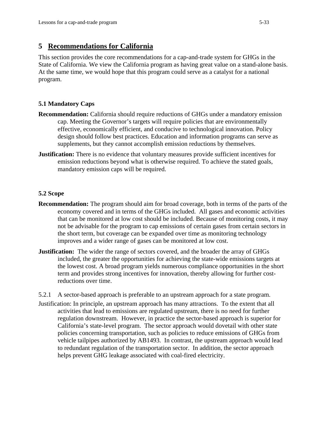## **5 Recommendations for California**

This section provides the core recommendations for a cap-and-trade system for GHGs in the State of California. We view the California program as having great value on a stand-alone basis. At the same time, we would hope that this program could serve as a catalyst for a national program.

## **5.1 Mandatory Caps**

- **Recommendation:** California should require reductions of GHGs under a mandatory emission cap. Meeting the Governor's targets will require policies that are environmentally effective, economically efficient, and conducive to technological innovation. Policy design should follow best practices. Education and information programs can serve as supplements, but they cannot accomplish emission reductions by themselves.
- **Justification:** There is no evidence that voluntary measures provide sufficient incentives for emission reductions beyond what is otherwise required. To achieve the stated goals, mandatory emission caps will be required.

#### **5.2 Scope**

- **Recommendation:** The program should aim for broad coverage, both in terms of the parts of the economy covered and in terms of the GHGs included. All gases and economic activities that can be monitored at low cost should be included. Because of monitoring costs, it may not be advisable for the program to cap emissions of certain gases from certain sectors in the short term, but coverage can be expanded over time as monitoring technology improves and a wider range of gases can be monitored at low cost.
- **Justification:** The wider the range of sectors covered, and the broader the array of GHGs included, the greater the opportunities for achieving the state-wide emissions targets at the lowest cost. A broad program yields numerous compliance opportunities in the short term and provides strong incentives for innovation, thereby allowing for further costreductions over time.

5.2.1 A sector-based approach is preferable to an upstream approach for a state program.

Justification: In principle, an upstream approach has many attractions. To the extent that all activities that lead to emissions are regulated upstream, there is no need for further regulation downstream. However, in practice the sector-based approach is superior for California's state-level program. The sector approach would dovetail with other state policies concerning transportation, such as policies to reduce emissions of GHGs from vehicle tailpipes authorized by AB1493. In contrast, the upstream approach would lead to redundant regulation of the transportation sector. In addition, the sector approach helps prevent GHG leakage associated with coal-fired electricity.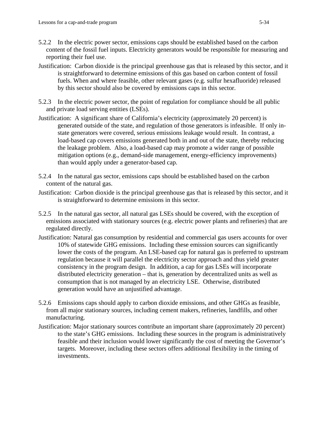- 5.2.2 In the electric power sector, emissions caps should be established based on the carbon content of the fossil fuel inputs. Electricity generators would be responsible for measuring and reporting their fuel use.
- Justification: Carbon dioxide is the principal greenhouse gas that is released by this sector, and it is straightforward to determine emissions of this gas based on carbon content of fossil fuels. When and where feasible, other relevant gases (e.g. sulfur hexafluoride) released by this sector should also be covered by emissions caps in this sector.
- 5.2.3 In the electric power sector, the point of regulation for compliance should be all public and private load serving entities (LSEs).
- Justification: A significant share of California's electricity (approximately 20 percent) is generated outside of the state, and regulation of those generators is infeasible. If only instate generators were covered, serious emissions leakage would result. In contrast, a load-based cap covers emissions generated both in and out of the state, thereby reducing the leakage problem. Also, a load-based cap may promote a wider range of possible mitigation options (e.g., demand-side management, energy-efficiency improvements) than would apply under a generator-based cap.
- 5.2.4 In the natural gas sector, emissions caps should be established based on the carbon content of the natural gas.
- Justification: Carbon dioxide is the principal greenhouse gas that is released by this sector, and it is straightforward to determine emissions in this sector.
- 5.2.5 In the natural gas sector, all natural gas LSEs should be covered, with the exception of emissions associated with stationary sources (e.g. electric power plants and refineries) that are regulated directly.
- Justification: Natural gas consumption by residential and commercial gas users accounts for over 10% of statewide GHG emissions. Including these emission sources can significantly lower the costs of the program. An LSE-based cap for natural gas is preferred to upstream regulation because it will parallel the electricity sector approach and thus yield greater consistency in the program design. In addition, a cap for gas LSEs will incorporate distributed electricity generation – that is, generation by decentralized units as well as consumption that is not managed by an electricity LSE. Otherwise, distributed generation would have an unjustified advantage.
- 5.2.6 Emissions caps should apply to carbon dioxide emissions, and other GHGs as feasible, from all major stationary sources, including cement makers, refineries, landfills, and other manufacturing.
- Justification: Major stationary sources contribute an important share (approximately 20 percent) to the state's GHG emissions. Including these sources in the program is administratively feasible and their inclusion would lower significantly the cost of meeting the Governor's targets. Moreover, including these sectors offers additional flexibility in the timing of investments.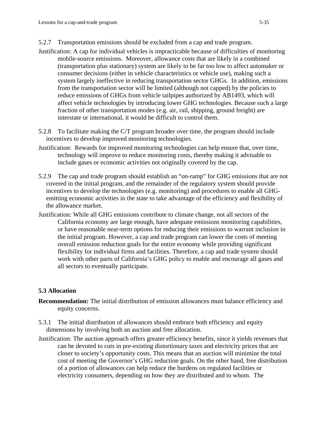- 5.2.7 Transportation emissions should be excluded from a cap and trade program.
- Justification: A cap for individual vehicles is impracticable because of difficulties of monitoring mobile-source emissions. Moreover, allowance costs that are likely in a combined (transportation plus stationary) system are likely to be far too low to affect automaker or consumer decisions (either in vehicle characteristics or vehicle use), making such a system largely ineffective in reducing transportation sector GHGs. In addition, emissions from the transportation sector will be limited (although not capped) by the policies to reduce emissions of GHGs from vehicle tailpipes authorized by AB1493, which will affect vehicle technologies by introducing lower GHG technologies. Because such a large fraction of other transportation modes (e.g. air, rail, shipping, ground freight) are interstate or international, it would be difficult to control them.
- 5.2.8 To facilitate making the C/T program broader over time, the program should include incentives to develop improved monitoring technologies.
- Justification: Rewards for improved monitoring technologies can help ensure that, over time, technology will improve to reduce monitoring costs, thereby making it advisable to include gases or economic activities not originally covered by the cap.
- 5.2.9 The cap and trade program should establish an "on-ramp" for GHG emissions that are not covered in the initial program, and the remainder of the regulatory system should provide incentives to develop the technologies (e.g. monitoring) and procedures to enable all GHGemitting economic activities in the state to take advantage of the efficiency and flexibility of the allowance market.
- Justification: While all GHG emissions contribute to climate change, not all sectors of the California economy are large enough, have adequate emissions monitoring capabilities, or have reasonable near-term options for reducing their emissions to warrant inclusion in the initial program. However, a cap and trade program can lower the costs of meeting overall emission reduction goals for the entire economy while providing significant flexibility for individual firms and facilities. Therefore, a cap and trade system should work with other parts of California's GHG policy to enable and encourage all gases and all sectors to eventually participate.

## **5.3 Allocation**

- **Recommendation:** The initial distribution of emission allowances must balance efficiency and equity concerns.
- 5.3.1 The initial distribution of allowances should embrace both efficiency and equity dimensions by involving both an auction and free allocation.
- Justification: The auction approach offers greater efficiency benefits, since it yields revenues that can be devoted to cuts in pre-existing distortionary taxes and electricity prices that are closer to society's opportunity costs. This means that an auction will minimize the total cost of meeting the Governor's GHG reduction goals. On the other hand, free distribution of a portion of allowances can help reduce the burdens on regulated facilities or electricity consumers, depending on how they are distributed and to whom. The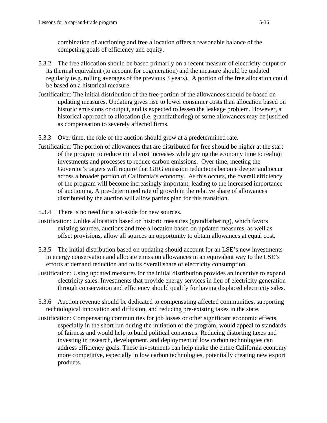combination of auctioning and free allocation offers a reasonable balance of the competing goals of efficiency and equity.

- 5.3.2 The free allocation should be based primarily on a recent measure of electricity output or its thermal equivalent (to account for cogeneration) and the measure should be updated regularly (e.g. rolling averages of the previous 3 years). A portion of the free allocation could be based on a historical measure.
- Justification: The initial distribution of the free portion of the allowances should be based on updating measures. Updating gives rise to lower consumer costs than allocation based on historic emissions or output, and is expected to lessen the leakage problem. However, a historical approach to allocation (i.e. grandfathering) of some allowances may be justified as compensation to severely affected firms.
- 5.3.3 Over time, the role of the auction should grow at a predetermined rate.
- Justification: The portion of allowances that are distributed for free should be higher at the start of the program to reduce initial cost increases while giving the economy time to realign investments and processes to reduce carbon emissions. Over time, meeting the Governor's targets will require that GHG emission reductions become deeper and occur across a broader portion of California's economy. As this occurs, the overall efficiency of the program will become increasingly important, leading to the increased importance of auctioning. A pre-determined rate of growth in the relative share of allowances distributed by the auction will allow parties plan for this transition.
- 5.3.4 There is no need for a set-aside for new sources.
- Justification: Unlike allocation based on historic measures (grandfathering), which favors existing sources, auctions and free allocation based on updated measures, as well as offset provisions, allow all sources an opportunity to obtain allowances at equal cost.
- 5.3.5 The initial distribution based on updating should account for an LSE's new investments in energy conservation and allocate emission allowances in an equivalent way to the LSE's efforts at demand reduction and to its overall share of electricity consumption.
- Justification: Using updated measures for the initial distribution provides an incentive to expand electricity sales. Investments that provide energy services in lieu of electricity generation through conservation and efficiency should qualify for having displaced electricity sales.
- 5.3.6 Auction revenue should be dedicated to compensating affected communities, supporting technological innovation and diffusion, and reducing pre-existing taxes in the state.
- Justification: Compensating communities for job losses or other significant economic effects, especially in the short run during the initiation of the program, would appeal to standards of fairness and would help to build political consensus. Reducing distorting taxes and investing in research, development, and deployment of low carbon technologies can address efficiency goals. These investments can help make the entire California economy more competitive, especially in low carbon technologies, potentially creating new export products.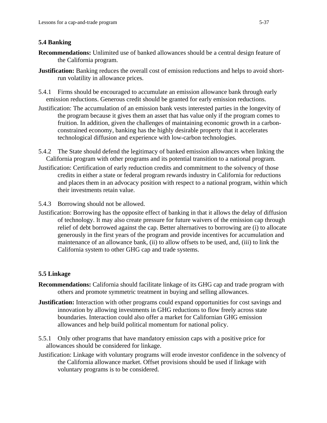## **5.4 Banking**

- **Recommendations:** Unlimited use of banked allowances should be a central design feature of the California program.
- **Justification:** Banking reduces the overall cost of emission reductions and helps to avoid shortrun volatility in allowance prices.
- 5.4.1 Firms should be encouraged to accumulate an emission allowance bank through early emission reductions. Generous credit should be granted for early emission reductions.
- Justification: The accumulation of an emission bank vests interested parties in the longevity of the program because it gives them an asset that has value only if the program comes to fruition. In addition, given the challenges of maintaining economic growth in a carbonconstrained economy, banking has the highly desirable property that it accelerates technological diffusion and experience with low-carbon technologies.
- 5.4.2 The State should defend the legitimacy of banked emission allowances when linking the California program with other programs and its potential transition to a national program.
- Justification: Certification of early reduction credits and commitment to the solvency of those credits in either a state or federal program rewards industry in California for reductions and places them in an advocacy position with respect to a national program, within which their investments retain value.
- 5.4.3 Borrowing should not be allowed.
- Justification: Borrowing has the opposite effect of banking in that it allows the delay of diffusion of technology. It may also create pressure for future waivers of the emission cap through relief of debt borrowed against the cap. Better alternatives to borrowing are (i) to allocate generously in the first years of the program and provide incentives for accumulation and maintenance of an allowance bank, (ii) to allow offsets to be used, and, (iii) to link the California system to other GHG cap and trade systems.

## **5.5 Linkage**

- **Recommendations:** California should facilitate linkage of its GHG cap and trade program with others and promote symmetric treatment in buying and selling allowances.
- **Justification:** Interaction with other programs could expand opportunities for cost savings and innovation by allowing investments in GHG reductions to flow freely across state boundaries. Interaction could also offer a market for Californian GHG emission allowances and help build political momentum for national policy.
- 5.5.1 Only other programs that have mandatory emission caps with a positive price for allowances should be considered for linkage.
- Justification: Linkage with voluntary programs will erode investor confidence in the solvency of the California allowance market. Offset provisions should be used if linkage with voluntary programs is to be considered.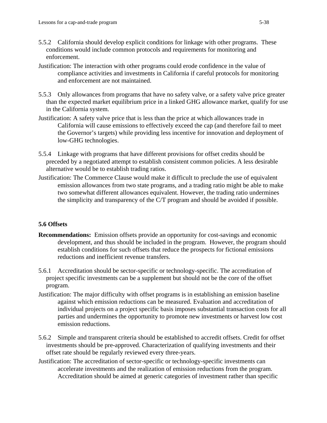- 5.5.2 California should develop explicit conditions for linkage with other programs. These conditions would include common protocols and requirements for monitoring and enforcement.
- Justification: The interaction with other programs could erode confidence in the value of compliance activities and investments in California if careful protocols for monitoring and enforcement are not maintained.
- 5.5.3 Only allowances from programs that have no safety valve, or a safety valve price greater than the expected market equilibrium price in a linked GHG allowance market, qualify for use in the California system.
- Justification: A safety valve price that is less than the price at which allowances trade in California will cause emissions to effectively exceed the cap (and therefore fail to meet the Governor's targets) while providing less incentive for innovation and deployment of low-GHG technologies.
- 5.5.4 Linkage with programs that have different provisions for offset credits should be preceded by a negotiated attempt to establish consistent common policies. A less desirable alternative would be to establish trading ratios.
- Justification: The Commerce Clause would make it difficult to preclude the use of equivalent emission allowances from two state programs, and a trading ratio might be able to make two somewhat different allowances equivalent. However, the trading ratio undermines the simplicity and transparency of the C/T program and should be avoided if possible.

## **5.6 Offsets**

- **Recommendations:** Emission offsets provide an opportunity for cost-savings and economic development, and thus should be included in the program. However, the program should establish conditions for such offsets that reduce the prospects for fictional emissions reductions and inefficient revenue transfers.
- 5.6.1 Accreditation should be sector-specific or technology-specific. The accreditation of project specific investments can be a supplement but should not be the core of the offset program.
- Justification: The major difficulty with offset programs is in establishing an emission baseline against which emission reductions can be measured. Evaluation and accreditation of individual projects on a project specific basis imposes substantial transaction costs for all parties and undermines the opportunity to promote new investments or harvest low cost emission reductions.
- 5.6.2 Simple and transparent criteria should be established to accredit offsets. Credit for offset investments should be pre-approved. Characterization of qualifying investments and their offset rate should be regularly reviewed every three-years.
- Justification: The accreditation of sector-specific or technology-specific investments can accelerate investments and the realization of emission reductions from the program. Accreditation should be aimed at generic categories of investment rather than specific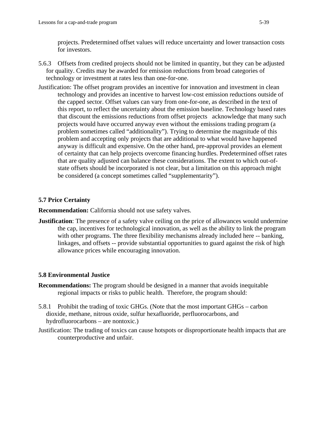projects. Predetermined offset values will reduce uncertainty and lower transaction costs for investors.

- 5.6.3 Offsets from credited projects should not be limited in quantity, but they can be adjusted for quality. Credits may be awarded for emission reductions from broad categories of technology or investment at rates less than one-for-one.
- Justification: The offset program provides an incentive for innovation and investment in clean technology and provides an incentive to harvest low-cost emission reductions outside of the capped sector. Offset values can vary from one-for-one, as described in the text of this report, to reflect the uncertainty about the emission baseline. Technology based rates that discount the emissions reductions from offset projects acknowledge that many such projects would have occurred anyway even without the emissions trading program (a problem sometimes called "additionality"). Trying to determine the magnitude of this problem and accepting only projects that are additional to what would have happened anyway is difficult and expensive. On the other hand, pre-approval provides an element of certainty that can help projects overcome financing hurdles. Predetermined offset rates that are quality adjusted can balance these considerations. The extent to which out-ofstate offsets should be incorporated is not clear, but a limitation on this approach might be considered (a concept sometimes called "supplementarity").

## **5.7 Price Certainty**

**Recommendation:** California should not use safety valves.

**Justification**: The presence of a safety valve ceiling on the price of allowances would undermine the cap, incentives for technological innovation, as well as the ability to link the program with other programs. The three flexibility mechanisms already included here -- banking, linkages, and offsets -- provide substantial opportunities to guard against the risk of high allowance prices while encouraging innovation.

## **5.8 Environmental Justice**

- **Recommendations:** The program should be designed in a manner that avoids inequitable regional impacts or risks to public health. Therefore, the program should:
- 5.8.1 Prohibit the trading of toxic GHGs. (Note that the most important GHGs carbon dioxide, methane, nitrous oxide, sulfur hexafluoride, perfluorocarbons, and hydrofluorocarbons – are nontoxic.)
- Justification: The trading of toxics can cause hotspots or disproportionate health impacts that are counterproductive and unfair.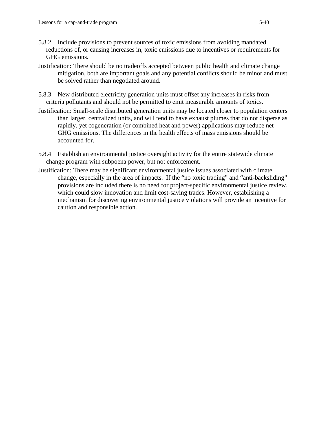- 5.8.2 Include provisions to prevent sources of toxic emissions from avoiding mandated reductions of, or causing increases in, toxic emissions due to incentives or requirements for GHG emissions.
- Justification: There should be no tradeoffs accepted between public health and climate change mitigation, both are important goals and any potential conflicts should be minor and must be solved rather than negotiated around.
- 5.8.3 New distributed electricity generation units must offset any increases in risks from criteria pollutants and should not be permitted to emit measurable amounts of toxics.
- Justification: Small-scale distributed generation units may be located closer to population centers than larger, centralized units, and will tend to have exhaust plumes that do not disperse as rapidly, yet cogeneration (or combined heat and power) applications may reduce net GHG emissions. The differences in the health effects of mass emissions should be accounted for.
- 5.8.4 Establish an environmental justice oversight activity for the entire statewide climate change program with subpoena power, but not enforcement.
- Justification: There may be significant environmental justice issues associated with climate change, especially in the area of impacts. If the "no toxic trading" and "anti-backsliding" provisions are included there is no need for project-specific environmental justice review, which could slow innovation and limit cost-saving trades. However, establishing a mechanism for discovering environmental justice violations will provide an incentive for caution and responsible action.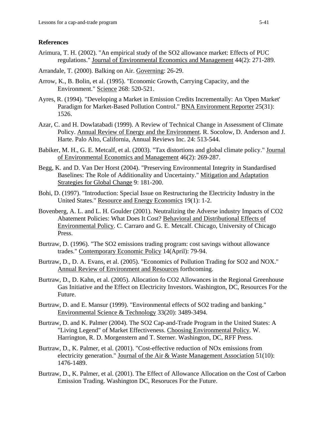#### **References**

- Arimura, T. H. (2002). "An empirical study of the SO2 allowance market: Effects of PUC regulations." Journal of Environmental Economics and Management 44(2): 271-289.
- Arrandale, T. (2000). Balking on Air. Governing: 26-29.
- Arrow, K., B. Bolin, et al. (1995). "Economic Growth, Carrying Capacity, and the Environment." Science 268: 520-521.
- Ayres, R. (1994). "Developing a Market in Emission Credits Incrementally: An 'Open Market' Paradigm for Market-Based Pollution Control." BNA Environment Reporter 25(31): 1526.
- Azar, C. and H. Dowlatabadi (1999). A Review of Technical Change in Assessment of Climate Policy. Annual Review of Energy and the Environment. R. Socolow, D. Anderson and J. Harte. Palo Alto, California, Annual Reviews Inc. 24: 513-544.
- Babiker, M. H., G. E. Metcalf, et al. (2003). "Tax distortions and global climate policy." Journal of Environmental Economics and Management 46(2): 269-287.
- Begg, K. and D. Van Der Horst (2004). "Preserving Environmental Integrity in Standardised Baselines: The Role of Additionality and Uncertainty." Mitigation and Adaptation Strategies for Global Change 9: 181-200.
- Bohi, D. (1997). "Introduction: Special Issue on Restructuring the Electricity Industry in the United States." Resource and Energy Economics 19(1): 1-2.
- Bovenberg, A. L. and L. H. Goulder (2001). Neutralizing the Adverse industry Impacts of CO2 Abatement Policies: What Does It Cost? Behavioral and Distributional Effects of Environmental Policy. C. Carraro and G. E. Metcalf. Chicago, University of Chicago Press.
- Burtraw, D. (1996). "The SO2 emissions trading program: cost savings without allowance trades." Contemporary Economic Policy 14(April): 79-94.
- Burtraw, D., D. A. Evans, et al. (2005). "Economics of Pollution Trading for SO2 and NOX." Annual Review of Environment and Resources forthcoming.
- Burtraw, D., D. Kahn, et al. (2005). Allocation fo CO2 Allowances in the Regional Greenhouse Gas Initiative and the Effect on Electricity Investors. Washington, DC, Resources For the Future.
- Burtraw, D. and E. Mansur (1999). "Environmental effects of SO2 trading and banking." Environmental Science & Technology 33(20): 3489-3494.
- Burtraw, D. and K. Palmer (2004). The SO2 Cap-and-Trade Program in the United States: A "Living Legend" of Market Effectiveness. Choosing Environmental Policy. W. Harrington, R. D. Morgenstern and T. Sterner. Washington, DC, RFF Press.
- Burtraw, D., K. Palmer, et al. (2001). "Cost-effective reduction of NOx emissions from electricity generation." Journal of the Air & Waste Management Association 51(10): 1476-1489.
- Burtraw, D., K. Palmer, et al. (2001). The Effect of Allowance Allocation on the Cost of Carbon Emission Trading. Washington DC, Resoruces For the Future.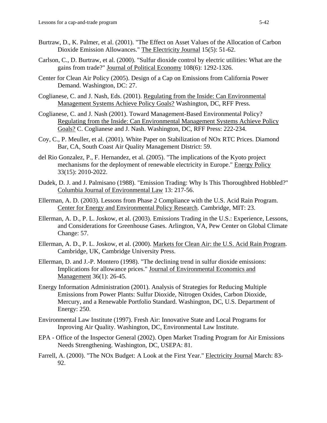- Burtraw, D., K. Palmer, et al. (2001). "The Effect on Asset Values of the Allocation of Carbon Dioxide Emission Allowances." The Electricity Journal 15(5): 51-62.
- Carlson, C., D. Burtraw, et al. (2000). "Sulfur dioxide control by electric utilities: What are the gains from trade?" Journal of Political Economy 108(6): 1292-1326.
- Center for Clean Air Policy (2005). Design of a Cap on Emissions from California Power Demand. Washington, DC: 27.
- Coglianese, C. and J. Nash, Eds. (2001). Regulating from the Inside: Can Environmental Management Systems Achieve Policy Goals? Washington, DC, RFF Press.
- Coglianese, C. and J. Nash (2001). Toward Management-Based Environmental Policy? Regulating from the Inside: Can Environmental Management Systems Achieve Policy Goals? C. Coglianese and J. Nash. Washington, DC, RFF Press: 222-234.
- Coy, C., P. Meuller, et al. (2001). White Paper on Stabilization of NOx RTC Prices. Diamond Bar, CA, South Coast Air Quality Management District: 59.
- del Rio Gonzalez, P., F. Hernandez, et al. (2005). "The implications of the Kyoto project mechanisms for the deployment of renewable electricity in Europe." Energy Policy 33(15): 2010-2022.
- Dudek, D. J. and J. Palmisano (1988). "Emission Trading: Why Is This Thoroughbred Hobbled?" Columbia Journal of Environmental Law 13: 217-56.
- Ellerman, A. D. (2003). Lessons from Phase 2 Compliance with the U.S. Acid Rain Program. Center for Energy and Environmental Policy Research. Cambridge, MIT: 23.
- Ellerman, A. D., P. L. Joskow, et al. (2003). Emissions Trading in the U.S.: Experience, Lessons, and Considerations for Greenhouse Gases. Arlington, VA, Pew Center on Global Climate Change: 57.
- Ellerman, A. D., P. L. Joskow, et al. (2000). Markets for Clean Air: the U.S. Acid Rain Program. Cambridge, UK, Cambridge University Press.
- Ellerman, D. and J.-P. Montero (1998). "The declining trend in sulfur dioxide emissions: Implications for allowance prices." Journal of Environmental Economics and Management 36(1): 26-45.
- Energy Information Administration (2001). Analysis of Strategies for Reducing Multiple Emissions from Power Plants: Sulfur Dioxide, Nitrogen Oxides, Carbon Dioxide, Mercury, and a Renewable Portfolio Standard. Washington, DC, U.S. Department of Energy: 250.
- Environmental Law Institute (1997). Fresh Air: Innovative State and Local Programs for Inproving Air Quality. Washington, DC, Environmental Law Institute.
- EPA Office of the Inspector General (2002). Open Market Trading Program for Air Emissions Needs Strengthening. Washington, DC, USEPA: 81.
- Farrell, A. (2000). "The NOx Budget: A Look at the First Year." Electricity Journal March: 83- 92.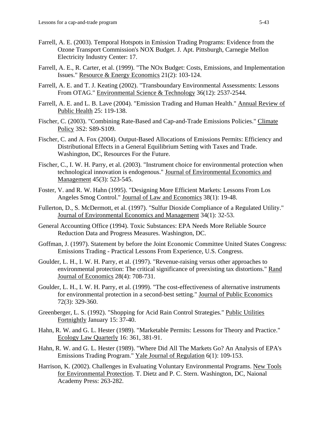- Farrell, A. E. (2003). Temporal Hotspots in Emission Trading Programs: Evidence from the Ozone Transport Commission's NOX Budget. J. Apt. Pittsburgh, Carnegie Mellon Electricity Industry Center: 17.
- Farrell, A. E., R. Carter, et al. (1999). "The NOx Budget: Costs, Emissions, and Implementation Issues." Resource & Energy Economics 21(2): 103-124.
- Farrell, A. E. and T. J. Keating (2002). "Transboundary Environmental Assessments: Lessons From OTAG." Environmental Science & Technology 36(12): 2537-2544.
- Farrell, A. E. and L. B. Lave (2004). "Emission Trading and Human Health." Annual Review of Public Health 25: 119-138.
- Fischer, C. (2003). "Combining Rate-Based and Cap-and-Trade Emissions Policies." Climate Policy 3S2: S89-S109.
- Fischer, C. and A. Fox (2004). Output-Based Allocations of Emissions Permits: Efficiency and Distributional Effects in a General Equilibrium Setting with Taxes and Trade. Washington, DC, Resources For the Future.
- Fischer, C., I. W. H. Parry, et al. (2003). "Instrument choice for environmental protection when technological innovation is endogenous." Journal of Environmental Economics and Management 45(3): 523-545.
- Foster, V. and R. W. Hahn (1995). "Designing More Efficient Markets: Lessons From Los Angeles Smog Control." Journal of Law and Economics 38(1): 19-48.
- Fullerton, D., S. McDermott, et al. (1997). "Sulfur Dioxide Compliance of a Regulated Utility." Journal of Environmental Economics and Management 34(1): 32-53.
- General Accounting Office (1994). Toxic Substances: EPA Needs More Reliable Source Reduction Data and Progress Measures. Washington, DC.
- Goffman, J. (1997). Statement by before the Joint Economic Committee United States Congress: Emissions Trading - Practical Lessons From Experience, U.S. Congress.
- Goulder, L. H., I. W. H. Parry, et al. (1997). "Revenue-raising versus other approaches to environmental protection: The critical significance of preexisting tax distortions." Rand Journal of Economics 28(4): 708-731.
- Goulder, L. H., I. W. H. Parry, et al. (1999). "The cost-effectiveness of alternative instruments for environmental protection in a second-best setting." Journal of Public Economics 72(3): 329-360.
- Greenberger, L. S. (1992). "Shopping for Acid Rain Control Strategies." Public Utilities Fortnightly January 15: 37-40.
- Hahn, R. W. and G. L. Hester (1989). "Marketable Permits: Lessons for Theory and Practice." Ecology Law Quarterly 16: 361, 381-91.
- Hahn, R. W. and G. L. Hester (1989). "Where Did All The Markets Go? An Analysis of EPA's Emissions Trading Program." Yale Journal of Regulation 6(1): 109-153.
- Harrison, K. (2002). Challenges in Evaluating Voluntary Environmental Programs. New Tools for Environmental Protection. T. Dietz and P. C. Stern. Washington, DC, Naional Academy Press: 263-282.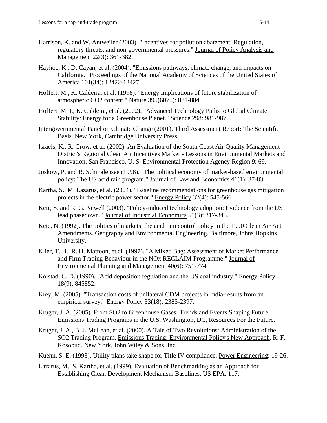- Harrison, K. and W. Antweiler (2003). "Incentives for pollution abatement: Regulation, regulatory threats, and non-governmental pressures." Journal of Policy Analysis and Management 22(3): 361-382.
- Hayhoe, K., D. Cayan, et al. (2004). "Emissions pathways, climate change, and impacts on California." Proceedings of the National Academy of Sciences of the United States of America 101(34): 12422-12427.
- Hoffert, M., K. Caldeira, et al. (1998). "Energy Implications of future stabilization of atmospheric CO2 content." Nature 395(6075): 881-884.
- Hoffert, M. I., K. Caldeira, et al. (2002). "Advanced Technology Paths to Global Climate Stability: Energy for a Greenhouse Planet." Science 298: 981-987.
- Intergovernmental Panel on Climate Change (2001). Third Assessment Report: The Scientific Basis. New York, Cambridge University Press.
- Israels, K., R. Grow, et al. (2002). An Evaluation of the South Coast Air Quality Management District's Regional Clean Air Incentives Market - Lessons in Environmental Markets and Innovation. San Francisco, U. S. Environmental Protection Agency Region 9: 69.
- Joskow, P. and R. Schmalensee (1998). "The political economy of market-based environmental policy: The US acid rain program." Journal of Law and Economics 41(1): 37-83.
- Kartha, S., M. Lazarus, et al. (2004). "Baseline recommendations for greenhouse gas mitigation projects in the electric power sector." Energy Policy 32(4): 545-566.
- Kerr, S. and R. G. Newell (2003). "Policy-induced technology adoption: Evidence from the US lead phasedown." Journal of Industrial Economics 51(3): 317-343.
- Kete, N. (1992). The politics of markets: the acid rain control policy in the 1990 Clean Air Act Amendments. Geography and Environmental Engineering. Baltimore, Johns Hopkins University.
- Klier, T. H., R. H. Mattoon, et al. (1997). "A Mixed Bag: Assessment of Market Performance and Firm Trading Behaviour in the NOx RECLAIM Programme." Journal of Environmental Planning and Management 40(6): 751-774.
- Kolstad, C. D. (1990). "Acid deposition regulation and the US coal industry." Energy Policy 18(9): 845852.
- Krey, M. (2005). "Transaction costs of unilateral CDM projects in India-results from an empirical survey." Energy Policy 33(18): 2385-2397.
- Kruger, J. A. (2005). From SO2 to Greenhouse Gases: Trends and Events Shaping Future Emissions Trading Programs in the U.S. Washington, DC, Resources For the Future.
- Kruger, J. A., B. J. McLean, et al. (2000). A Tale of Two Revolutions: Administration of the SO2 Trading Program. Emissions Trading: Environmental Policy's New Approach. R. F. Kosobud. New York, John Wiley & Sons, Inc.
- Kuehn, S. E. (1993). Utility plans take shape for Title IV compliance. Power Engineering: 19-26.
- Lazarus, M., S. Kartha, et al. (1999). Evaluation of Benchmarking as an Approach for Establishing Clean Development Mechanism Baselines, US EPA: 117.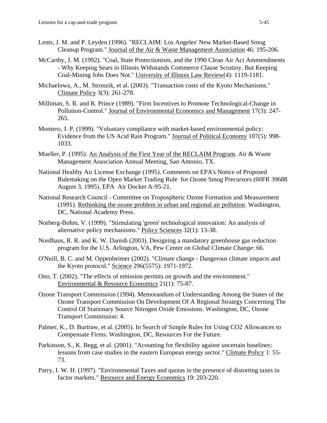- Lents, J. M. and P. Leyden (1996). "RECLAIM: Los Angeles' New Market-Based Smog Cleanup Program." Journal of the Air & Waste Management Association 46: 195-206.
- McCarthy, J. M. (1992). "Coal, State Protectionism, and the 1990 Clean Air Act Ammendments - Why Keeping Sears in Illinois Withstands Commerce Clause Scrutiny, But Keeping Coal-Mining Jobs Does Not." University of Illinois Law Review(4): 1119-1181.
- Michaelowa, A., M. Stronzik, et al. (2003). "Transaction costs of the Kyoto Mechanisms." Climate Policy 3(3): 261-278.
- Milliman, S. R. and R. Prince (1989). "Firm Incentives to Promote Technological-Change in Pollution-Control." Journal of Environmental Economics and Management 17(3): 247- 265.
- Montero, J. P. (1999). "Voluntary compliance with market-based environmental policy: Evidence from the US Acid Rain Program." Journal of Political Economy 107(5): 998- 1033.
- Mueller, P. (1995). An Analysis of the First Year of the RECLAIM Program. Air & Waste Management Association Annual Meeting, San Antonio, TX.
- National Healthy Air License Exchange (1995). Comments on EPA's Notice of Proposed Rulemaking on the Open Market Trading Rule for Ozone Smog Precursors (60FR 39688 August 3, 1995). EPA Air Docket A-95-21.
- National Research Council Committee on Tropospheric Ozone Formation and Measurement (1991). Rethinking the ozone problem in urban and regional air pollution. Washington, DC, National Academy Press.
- Norberg-Bohm, V. (1999). "Stimulating 'green' technological innovation: An analysis of alternative policy mechanisms." Policy Sciences 32(1): 13-38.
- Nordhaus, R. R. and K. W. Danish (2003). Designing a mandatory greenhouse gas reduction program for the U.S. Arlington, VA, Pew Center on Global Climate Change: 66.
- O'Neill, B. C. and M. Oppenheimer (2002). "Climate change Dangerous climate impacts and the Kyoto protocol." Science 296(5575): 1971-1972.
- Ono, T. (2002). "The effects of emission permits on growth and the environment." Environmental & Resource Economics 21(1): 75-87.
- Ozone Transport Commission (1994). Memorandum of Understanding Among the States of the Ozone Transport Commission On Development Of A Regional Strategy Concerning The Control Of Stationary Source Nitrogen Oxide Emissions. Washington, DC, Ozone Transport Commission: 4.
- Palmer, K., D. Burtraw, et al. (2005). In Search of Simple Rules for Using CO2 Allowances to Compensate Firms. Washington, DC, Resources For the Future.
- Parkinson, S., K. Begg, et al. (2001). "Acounting for flexibility against uncertain baselines: lessons from case studies in the eastern European energy sector." Climate Policy 1: 55- 73.
- Parry, I. W. H. (1997). "Environmental Taxes and quotas in the presence of distorting taxes in factor markets." Resource and Energy Economics 19: 203-220.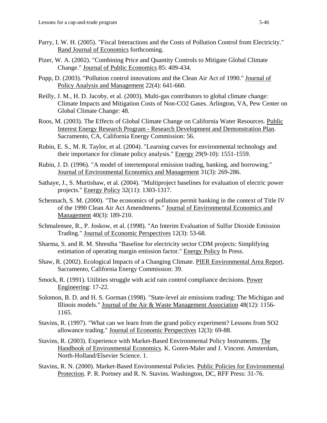- Parry, I. W. H. (2005). "Fiscal Interactions and the Costs of Pollution Control from Electricity." Rand Journal of Economics forthcoming.
- Pizer, W. A. (2002). "Combining Price and Quantity Controls to Mitigate Global Climate Change." Journal of Public Economics 85: 409-434.
- Popp, D. (2003). "Pollution control innovations and the Clean Air Act of 1990." Journal of Policy Analysis and Management 22(4): 641-660.
- Reilly, J. M., H. D. Jacoby, et al. (2003). Multi-gas contributors to global climate change: Climate Impacts and Mitigation Costs of Non-CO2 Gases. Arlington, VA, Pew Center on Global Climate Change: 48.
- Roos, M. (2003). The Effects of Global Climate Change on California Water Resources. Public Interest Energy Research Program - Research Development and Demonstration Plan. Sacramento, CA, California Energy Commission: 56.
- Rubin, E. S., M. R. Taylor, et al. (2004). "Learning curves for environmental technology and their importance for climate policy analysis." Energy 29(9-10): 1551-1559.
- Rubin, J. D. (1996). "A model of intertemporal emission trading, banking, and borrowing." Journal of Environmental Economics and Management 31(3): 269-286.
- Sathaye, J., S. Murtishaw, et al. (2004). "Multiproject baselines for evaluation of electric power projects." Energy Policy 32(11): 1303-1317.
- Schennach, S. M. (2000). "The economics of pollution permit banking in the context of Title IV of the 1990 Clean Air Act Amendments." Journal of Environmental Economics and Management 40(3): 189-210.
- Schmalensee, R., P. Joskow, et al. (1998). "An Interim Evaluation of Sulfur Dioxide Emission Trading." Journal of Economic Perspectives 12(3): 53-68.
- Sharma, S. and R. M. Shrestha "Baseline for electricity sector CDM projects: Simplifying estimation of operating margin emission factor." Energy Policy In Press.
- Shaw, R. (2002). Ecological Impacts of a Changing Climate. PIER Environmental Area Report. Sacramento, California Energy Commission: 39.
- Smock, R. (1991). Utilities struggle with acid rain control compliance decisions. Power Engineering: 17-22.
- Solomon, B. D. and H. S. Gorman (1998). "State-level air emissions trading: The Michigan and Illinois models." Journal of the Air & Waste Management Association 48(12): 1156- 1165.
- Stavins, R. (1997). "What can we learn from the grand policy experiment? Lessons from SO2 allowance trading." Journal of Economic Perspectives 12(3): 69-88.
- Stavins, R. (2003). Experience with Market-Based Environmental Policy Instruments. The Handbook of Environmental Economics. K. Goren-Maler and J. Vincent. Amsterdam, North-Holland/Elsevier Science. 1.
- Stavins, R. N. (2000). Market-Based Environmental Policies. Public Policies for Environmental Protection. P. R. Portney and R. N. Stavins. Washington, DC, RFF Press: 31-76.